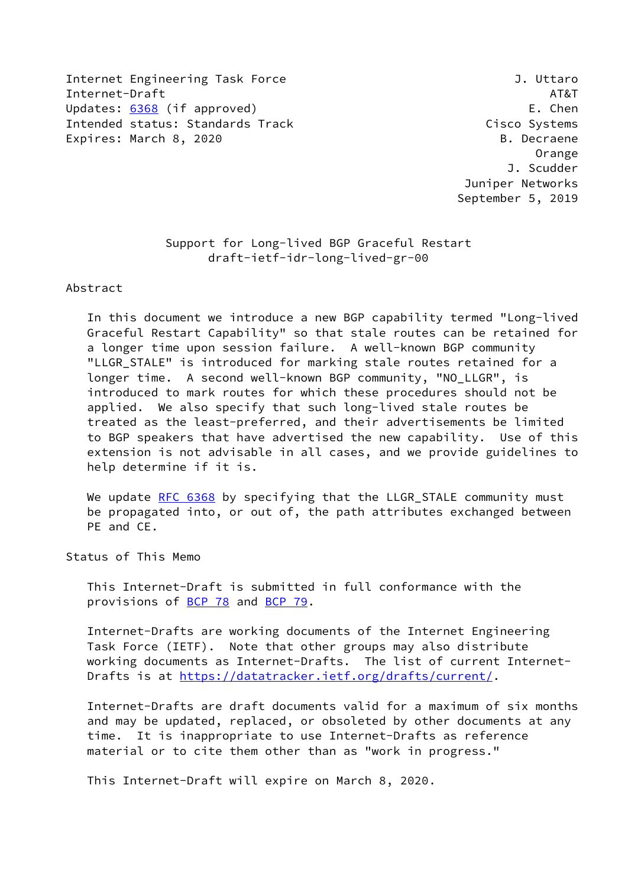Internet Engineering Task Force J. Uttaro Internet-Draft AT&T Updates: [6368](https://datatracker.ietf.org/doc/pdf/rfc6368) (if approved) example the set of the set of the set of the set of the set of the set of the set o Intended status: Standards Track Cisco Systems Expires: March 8, 2020 B. Decraene

 Orange J. Scudder Juniper Networks September 5, 2019

# Support for Long-lived BGP Graceful Restart draft-ietf-idr-long-lived-gr-00

#### Abstract

 In this document we introduce a new BGP capability termed "Long-lived Graceful Restart Capability" so that stale routes can be retained for a longer time upon session failure. A well-known BGP community "LLGR STALE" is introduced for marking stale routes retained for a longer time. A second well-known BGP community, "NO\_LLGR", is introduced to mark routes for which these procedures should not be applied. We also specify that such long-lived stale routes be treated as the least-preferred, and their advertisements be limited to BGP speakers that have advertised the new capability. Use of this extension is not advisable in all cases, and we provide guidelines to help determine if it is.

We update [RFC 6368](https://datatracker.ietf.org/doc/pdf/rfc6368) by specifying that the LLGR STALE community must be propagated into, or out of, the path attributes exchanged between PE and CE.

Status of This Memo

 This Internet-Draft is submitted in full conformance with the provisions of [BCP 78](https://datatracker.ietf.org/doc/pdf/bcp78) and [BCP 79](https://datatracker.ietf.org/doc/pdf/bcp79).

 Internet-Drafts are working documents of the Internet Engineering Task Force (IETF). Note that other groups may also distribute working documents as Internet-Drafts. The list of current Internet Drafts is at<https://datatracker.ietf.org/drafts/current/>.

 Internet-Drafts are draft documents valid for a maximum of six months and may be updated, replaced, or obsoleted by other documents at any time. It is inappropriate to use Internet-Drafts as reference material or to cite them other than as "work in progress."

This Internet-Draft will expire on March 8, 2020.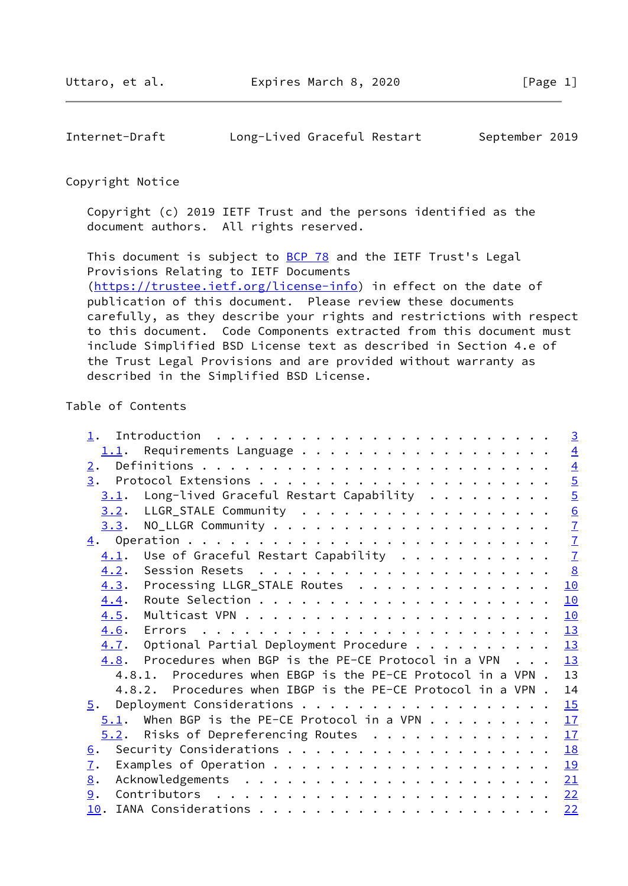### Copyright Notice

 Copyright (c) 2019 IETF Trust and the persons identified as the document authors. All rights reserved.

This document is subject to **[BCP 78](https://datatracker.ietf.org/doc/pdf/bcp78)** and the IETF Trust's Legal Provisions Relating to IETF Documents [\(https://trustee.ietf.org/license-info](https://trustee.ietf.org/license-info)) in effect on the date of publication of this document. Please review these documents carefully, as they describe your rights and restrictions with respect to this document. Code Components extracted from this document must include Simplified BSD License text as described in Section 4.e of the Trust Legal Provisions and are provided without warranty as described in the Simplified BSD License.

# Table of Contents

| $\overline{3}$                                                    |
|-------------------------------------------------------------------|
| $\overline{4}$<br>1.1.                                            |
| $\overline{4}$                                                    |
| $rac{5}{5}$                                                       |
| Long-lived Graceful Restart Capability                            |
| $\underline{6}$<br>3.2.                                           |
| $\overline{1}$<br>3.3.                                            |
| $\overline{1}$                                                    |
| $\overline{1}$<br>Use of Graceful Restart Capability              |
| $\frac{8}{2}$<br>4.2.                                             |
| Processing LLGR_STALE Routes<br>10<br>4.3.                        |
| 10<br>4.4.                                                        |
| 10<br>4.5.                                                        |
| 13<br>4.6.                                                        |
| 13<br>Optional Partial Deployment Procedure<br>4.7.               |
| 13<br>Procedures when BGP is the PE-CE Protocol in a VPN<br>4.8.  |
| 13<br>4.8.1. Procedures when EBGP is the PE-CE Protocol in a VPN. |
| 14<br>4.8.2. Procedures when IBGP is the PE-CE Protocol in a VPN. |
| 15                                                                |
| $5.1$ . When BGP is the PE-CE Protocol in a VPN<br>17             |
| $5.2$ . Risks of Depreferencing Routes<br>17                      |
| <b>18</b>                                                         |
|                                                                   |
| 21                                                                |
| 22                                                                |
| 22                                                                |
|                                                                   |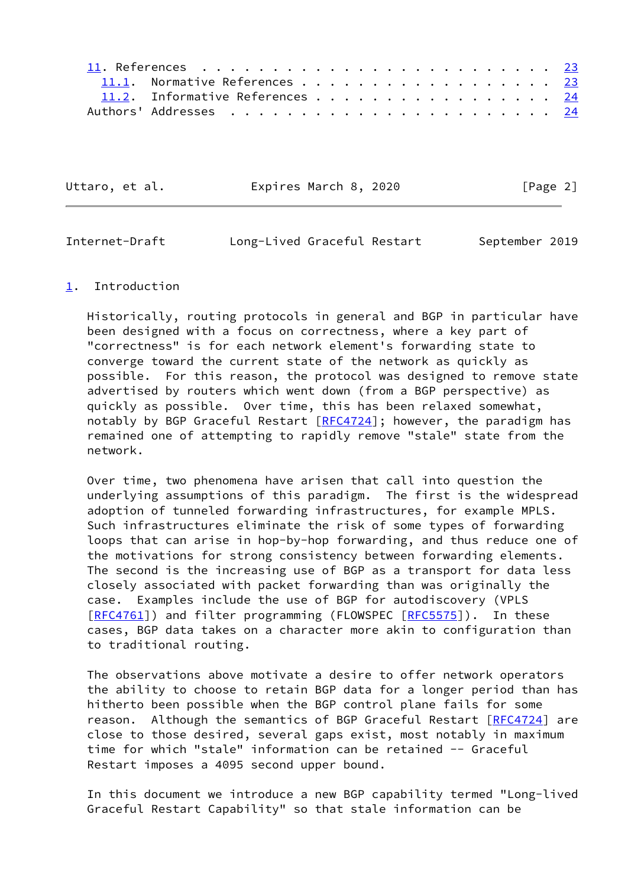| 11.1. Normative References 23   |
|---------------------------------|
| 11.2. Informative References 24 |
|                                 |

<span id="page-2-1"></span>

| Uttaro, et al. | Expires March 8, 2020 | [Page 2] |
|----------------|-----------------------|----------|
|----------------|-----------------------|----------|

#### <span id="page-2-0"></span>[1](#page-2-0). Introduction

 Historically, routing protocols in general and BGP in particular have been designed with a focus on correctness, where a key part of "correctness" is for each network element's forwarding state to converge toward the current state of the network as quickly as possible. For this reason, the protocol was designed to remove state advertised by routers which went down (from a BGP perspective) as quickly as possible. Over time, this has been relaxed somewhat, notably by BGP Graceful Restart  $[RFC4724]$  $[RFC4724]$ ; however, the paradigm has remained one of attempting to rapidly remove "stale" state from the network.

 Over time, two phenomena have arisen that call into question the underlying assumptions of this paradigm. The first is the widespread adoption of tunneled forwarding infrastructures, for example MPLS. Such infrastructures eliminate the risk of some types of forwarding loops that can arise in hop-by-hop forwarding, and thus reduce one of the motivations for strong consistency between forwarding elements. The second is the increasing use of BGP as a transport for data less closely associated with packet forwarding than was originally the case. Examples include the use of BGP for autodiscovery (VPLS [\[RFC4761](https://datatracker.ietf.org/doc/pdf/rfc4761)]) and filter programming (FLOWSPEC [\[RFC5575](https://datatracker.ietf.org/doc/pdf/rfc5575)]). In these cases, BGP data takes on a character more akin to configuration than to traditional routing.

 The observations above motivate a desire to offer network operators the ability to choose to retain BGP data for a longer period than has hitherto been possible when the BGP control plane fails for some reason. Although the semantics of BGP Graceful Restart [\[RFC4724](https://datatracker.ietf.org/doc/pdf/rfc4724)] are close to those desired, several gaps exist, most notably in maximum time for which "stale" information can be retained -- Graceful Restart imposes a 4095 second upper bound.

 In this document we introduce a new BGP capability termed "Long-lived Graceful Restart Capability" so that stale information can be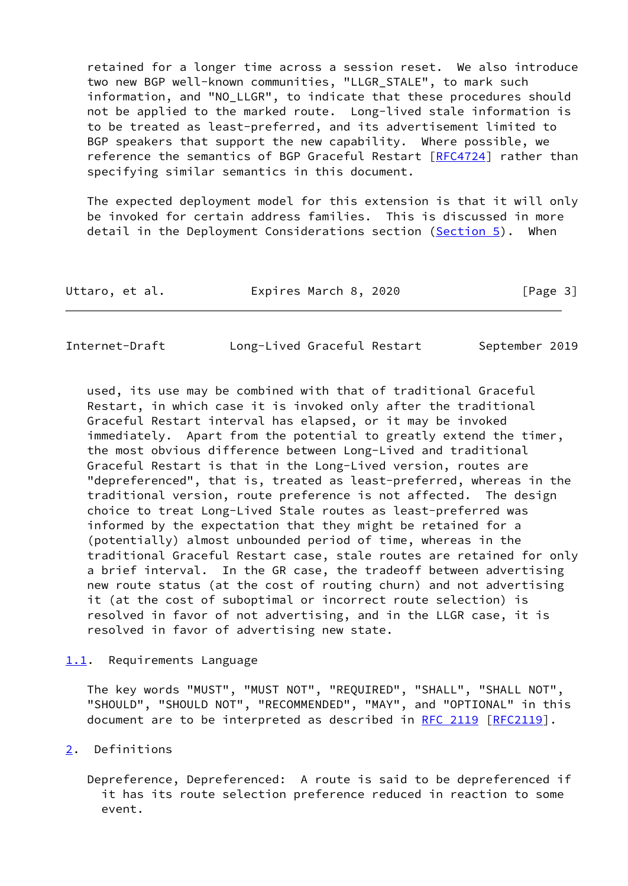retained for a longer time across a session reset. We also introduce two new BGP well-known communities, "LLGR\_STALE", to mark such information, and "NO\_LLGR", to indicate that these procedures should not be applied to the marked route. Long-lived stale information is to be treated as least-preferred, and its advertisement limited to BGP speakers that support the new capability. Where possible, we reference the semantics of BGP Graceful Restart [\[RFC4724](https://datatracker.ietf.org/doc/pdf/rfc4724)] rather than specifying similar semantics in this document.

 The expected deployment model for this extension is that it will only be invoked for certain address families. This is discussed in more detail in the Deployment Considerations section [\(Section 5](#page-16-0)). When

| Uttaro, et al. | Expires March 8, 2020 | [Page 3] |
|----------------|-----------------------|----------|
|----------------|-----------------------|----------|

<span id="page-3-1"></span>

| Internet-Draft |  | Long-Lived Graceful Restart | September 2019 |
|----------------|--|-----------------------------|----------------|
|----------------|--|-----------------------------|----------------|

 used, its use may be combined with that of traditional Graceful Restart, in which case it is invoked only after the traditional Graceful Restart interval has elapsed, or it may be invoked immediately. Apart from the potential to greatly extend the timer, the most obvious difference between Long-Lived and traditional Graceful Restart is that in the Long-Lived version, routes are "depreferenced", that is, treated as least-preferred, whereas in the traditional version, route preference is not affected. The design choice to treat Long-Lived Stale routes as least-preferred was informed by the expectation that they might be retained for a (potentially) almost unbounded period of time, whereas in the traditional Graceful Restart case, stale routes are retained for only a brief interval. In the GR case, the tradeoff between advertising new route status (at the cost of routing churn) and not advertising it (at the cost of suboptimal or incorrect route selection) is resolved in favor of not advertising, and in the LLGR case, it is resolved in favor of advertising new state.

#### <span id="page-3-0"></span>[1.1](#page-3-0). Requirements Language

 The key words "MUST", "MUST NOT", "REQUIRED", "SHALL", "SHALL NOT", "SHOULD", "SHOULD NOT", "RECOMMENDED", "MAY", and "OPTIONAL" in this document are to be interpreted as described in [RFC 2119 \[RFC2119](https://datatracker.ietf.org/doc/pdf/rfc2119)].

## <span id="page-3-2"></span>[2](#page-3-2). Definitions

 Depreference, Depreferenced: A route is said to be depreferenced if it has its route selection preference reduced in reaction to some event.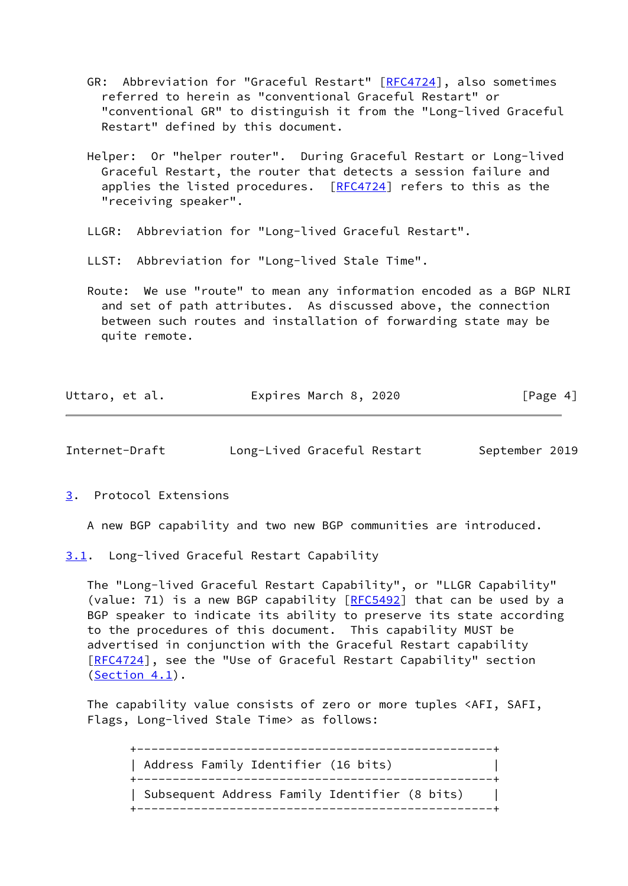- GR: Abbreviation for "Graceful Restart" [\[RFC4724](https://datatracker.ietf.org/doc/pdf/rfc4724)], also sometimes referred to herein as "conventional Graceful Restart" or "conventional GR" to distinguish it from the "Long-lived Graceful Restart" defined by this document.
- Helper: Or "helper router". During Graceful Restart or Long-lived Graceful Restart, the router that detects a session failure and applies the listed procedures.  $[REC4724]$  refers to this as the "receiving speaker".
- LLGR: Abbreviation for "Long-lived Graceful Restart".
- LLST: Abbreviation for "Long-lived Stale Time".
- Route: We use "route" to mean any information encoded as a BGP NLRI and set of path attributes. As discussed above, the connection between such routes and installation of forwarding state may be quite remote.

<span id="page-4-1"></span>

| Uttaro, et al. | Expires March 8, 2020 | [Page 4] |
|----------------|-----------------------|----------|
|                |                       |          |

<span id="page-4-0"></span>[3](#page-4-0). Protocol Extensions

A new BGP capability and two new BGP communities are introduced.

<span id="page-4-2"></span>[3.1](#page-4-2). Long-lived Graceful Restart Capability

 The "Long-lived Graceful Restart Capability", or "LLGR Capability" (value: 71) is a new BGP capability [\[RFC5492](https://datatracker.ietf.org/doc/pdf/rfc5492)] that can be used by a BGP speaker to indicate its ability to preserve its state according to the procedures of this document. This capability MUST be advertised in conjunction with the Graceful Restart capability [\[RFC4724](https://datatracker.ietf.org/doc/pdf/rfc4724)], see the "Use of Graceful Restart Capability" section  $(Section 4.1)$  $(Section 4.1)$ .

 The capability value consists of zero or more tuples <AFI, SAFI, Flags, Long-lived Stale Time> as follows:

 +--------------------------------------------------+ | Address Family Identifier (16 bits) | +--------------------------------------------------+ | Subsequent Address Family Identifier (8 bits) | +--------------------------------------------------+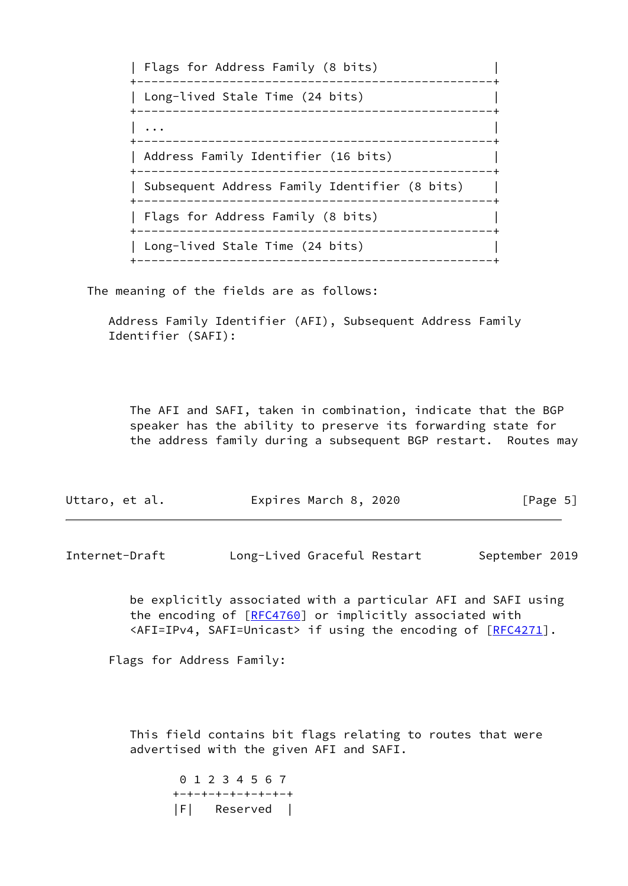| Flags for Address Family (8 bits) | +--------------------------------------------------+ | Long-lived Stale Time (24 bits) | +--------------------------------------------------+ | ... | ... | ... | ... | ... | ... | ... | ... | ... | ... | ... | ... | ... | ... | ... | ... | ... | ... | +--------------------------------------------------+ | Address Family Identifier (16 bits) | +--------------------------------------------------+ | Subsequent Address Family Identifier (8 bits) | +--------------------------------------------------+ | Flags for Address Family (8 bits) | +--------------------------------------------------+ | Long-lived Stale Time (24 bits) | +--------------------------------------------------+

The meaning of the fields are as follows:

 Address Family Identifier (AFI), Subsequent Address Family Identifier (SAFI):

 The AFI and SAFI, taken in combination, indicate that the BGP speaker has the ability to preserve its forwarding state for the address family during a subsequent BGP restart. Routes may

| Expires March 8, 2020<br>Uttaro, et al. | [Page 5] |
|-----------------------------------------|----------|
|-----------------------------------------|----------|

<span id="page-5-0"></span>Internet-Draft Long-Lived Graceful Restart September 2019

 be explicitly associated with a particular AFI and SAFI using the encoding of [[RFC4760](https://datatracker.ietf.org/doc/pdf/rfc4760)] or implicitly associated with <AFI=IPv4, SAFI=Unicast> if using the encoding of [\[RFC4271](https://datatracker.ietf.org/doc/pdf/rfc4271)].

Flags for Address Family:

 This field contains bit flags relating to routes that were advertised with the given AFI and SAFI.

 0 1 2 3 4 5 6 7 +-+-+-+-+-+-+-+-+ |F| Reserved |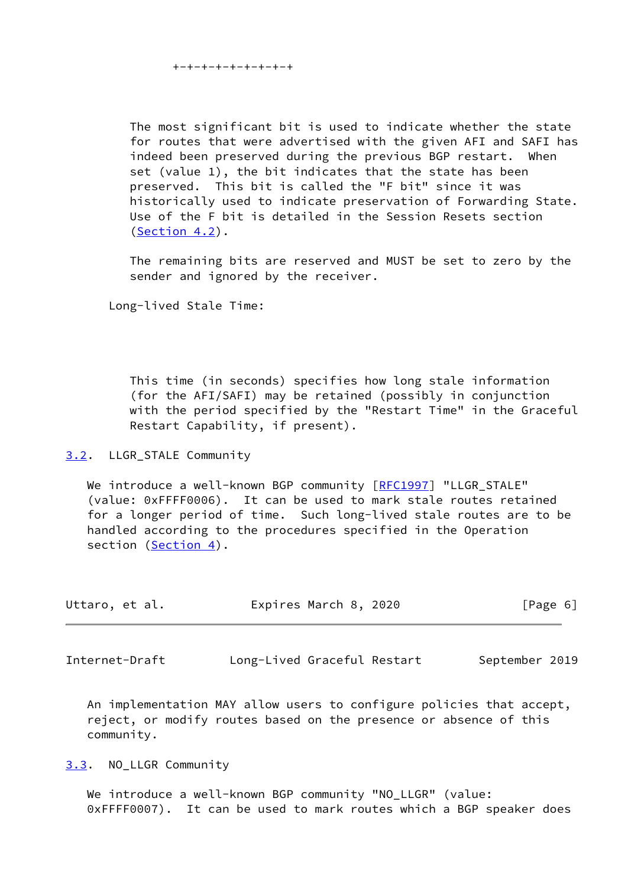+-+-+-+-+-+-+-+-+

 The most significant bit is used to indicate whether the state for routes that were advertised with the given AFI and SAFI has indeed been preserved during the previous BGP restart. When set (value 1), the bit indicates that the state has been preserved. This bit is called the "F bit" since it was historically used to indicate preservation of Forwarding State. Use of the F bit is detailed in the Session Resets section ([Section 4.2](#page-7-2)).

 The remaining bits are reserved and MUST be set to zero by the sender and ignored by the receiver.

Long-lived Stale Time:

 This time (in seconds) specifies how long stale information (for the AFI/SAFI) may be retained (possibly in conjunction with the period specified by the "Restart Time" in the Graceful Restart Capability, if present).

<span id="page-6-0"></span>[3.2](#page-6-0). LLGR\_STALE Community

We introduce a well-known BGP community [\[RFC1997](https://datatracker.ietf.org/doc/pdf/rfc1997)] "LLGR\_STALE" (value: 0xFFFF0006). It can be used to mark stale routes retained for a longer period of time. Such long-lived stale routes are to be handled according to the procedures specified in the Operation section [\(Section 4](#page-7-0)).

| Expires March 8, 2020<br>Uttaro, et al. |  | [Page 6] |
|-----------------------------------------|--|----------|
|-----------------------------------------|--|----------|

<span id="page-6-2"></span>Internet-Draft Long-Lived Graceful Restart September 2019

 An implementation MAY allow users to configure policies that accept, reject, or modify routes based on the presence or absence of this community.

<span id="page-6-1"></span>[3.3](#page-6-1). NO\_LLGR Community

 We introduce a well-known BGP community "NO\_LLGR" (value: 0xFFFF0007). It can be used to mark routes which a BGP speaker does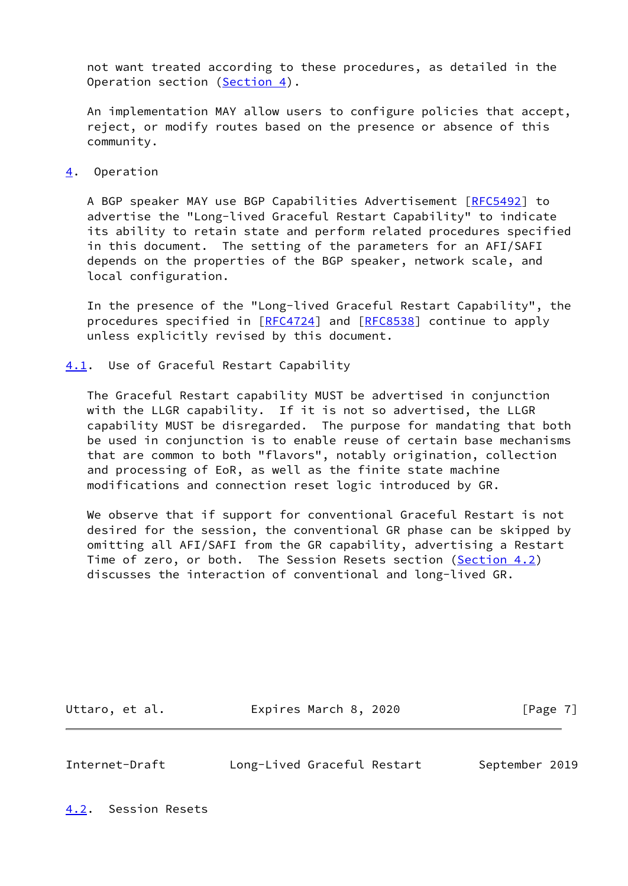not want treated according to these procedures, as detailed in the Operation section ([Section 4\)](#page-7-0).

 An implementation MAY allow users to configure policies that accept, reject, or modify routes based on the presence or absence of this community.

<span id="page-7-0"></span>[4](#page-7-0). Operation

A BGP speaker MAY use BGP Capabilities Advertisement [\[RFC5492](https://datatracker.ietf.org/doc/pdf/rfc5492)] to advertise the "Long-lived Graceful Restart Capability" to indicate its ability to retain state and perform related procedures specified in this document. The setting of the parameters for an AFI/SAFI depends on the properties of the BGP speaker, network scale, and local configuration.

 In the presence of the "Long-lived Graceful Restart Capability", the procedures specified in [\[RFC4724](https://datatracker.ietf.org/doc/pdf/rfc4724)] and [[RFC8538](https://datatracker.ietf.org/doc/pdf/rfc8538)] continue to apply unless explicitly revised by this document.

<span id="page-7-1"></span>[4.1](#page-7-1). Use of Graceful Restart Capability

 The Graceful Restart capability MUST be advertised in conjunction with the LLGR capability. If it is not so advertised, the LLGR capability MUST be disregarded. The purpose for mandating that both be used in conjunction is to enable reuse of certain base mechanisms that are common to both "flavors", notably origination, collection and processing of EoR, as well as the finite state machine modifications and connection reset logic introduced by GR.

 We observe that if support for conventional Graceful Restart is not desired for the session, the conventional GR phase can be skipped by omitting all AFI/SAFI from the GR capability, advertising a Restart Time of zero, or both. The Session Resets section ([Section 4.2\)](#page-7-2) discusses the interaction of conventional and long-lived GR.

Uttaro, et al. **Expires March 8, 2020** [Page 7]

<span id="page-7-3"></span>Internet-Draft Long-Lived Graceful Restart September 2019

<span id="page-7-2"></span>[4.2](#page-7-2). Session Resets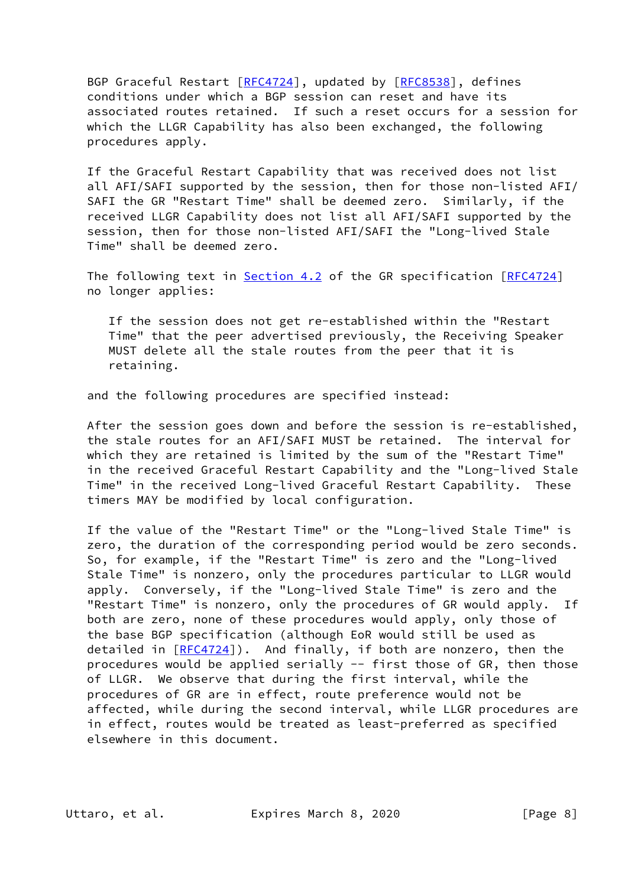BGP Graceful Restart [\[RFC4724](https://datatracker.ietf.org/doc/pdf/rfc4724)], updated by [[RFC8538\]](https://datatracker.ietf.org/doc/pdf/rfc8538), defines conditions under which a BGP session can reset and have its associated routes retained. If such a reset occurs for a session for which the LLGR Capability has also been exchanged, the following procedures apply.

 If the Graceful Restart Capability that was received does not list all AFI/SAFI supported by the session, then for those non-listed AFI/ SAFI the GR "Restart Time" shall be deemed zero. Similarly, if the received LLGR Capability does not list all AFI/SAFI supported by the session, then for those non-listed AFI/SAFI the "Long-lived Stale Time" shall be deemed zero.

The following text in [Section 4.2](#page-7-2) of the GR specification [[RFC4724](https://datatracker.ietf.org/doc/pdf/rfc4724)] no longer applies:

 If the session does not get re-established within the "Restart Time" that the peer advertised previously, the Receiving Speaker MUST delete all the stale routes from the peer that it is retaining.

and the following procedures are specified instead:

 After the session goes down and before the session is re-established, the stale routes for an AFI/SAFI MUST be retained. The interval for which they are retained is limited by the sum of the "Restart Time" in the received Graceful Restart Capability and the "Long-lived Stale Time" in the received Long-lived Graceful Restart Capability. These timers MAY be modified by local configuration.

 If the value of the "Restart Time" or the "Long-lived Stale Time" is zero, the duration of the corresponding period would be zero seconds. So, for example, if the "Restart Time" is zero and the "Long-lived Stale Time" is nonzero, only the procedures particular to LLGR would apply. Conversely, if the "Long-lived Stale Time" is zero and the "Restart Time" is nonzero, only the procedures of GR would apply. If both are zero, none of these procedures would apply, only those of the base BGP specification (although EoR would still be used as detailed in [\[RFC4724](https://datatracker.ietf.org/doc/pdf/rfc4724)]). And finally, if both are nonzero, then the procedures would be applied serially -- first those of GR, then those of LLGR. We observe that during the first interval, while the procedures of GR are in effect, route preference would not be affected, while during the second interval, while LLGR procedures are in effect, routes would be treated as least-preferred as specified elsewhere in this document.

Uttaro, et al. Expires March 8, 2020 [Page 8]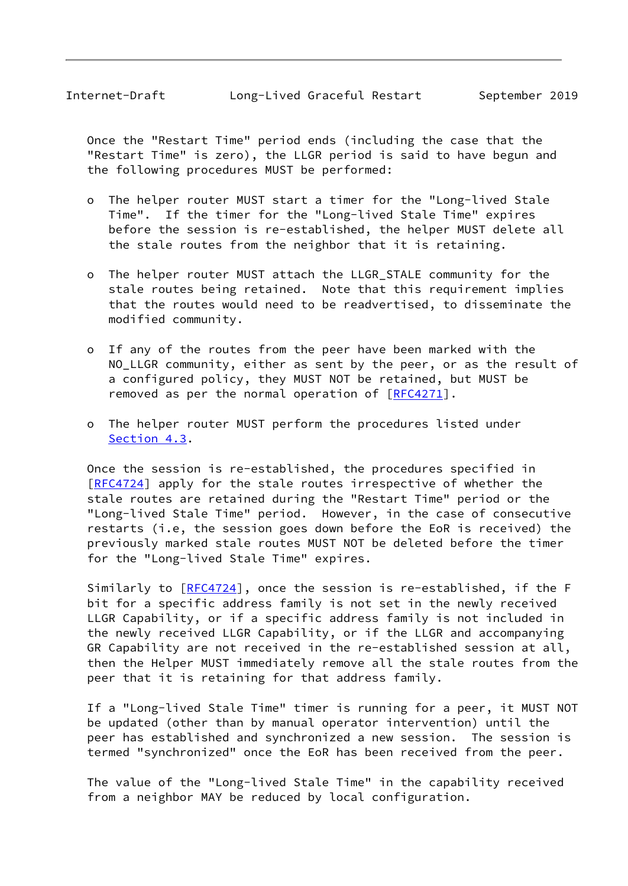Once the "Restart Time" period ends (including the case that the "Restart Time" is zero), the LLGR period is said to have begun and the following procedures MUST be performed:

- o The helper router MUST start a timer for the "Long-lived Stale Time". If the timer for the "Long-lived Stale Time" expires before the session is re-established, the helper MUST delete all the stale routes from the neighbor that it is retaining.
- o The helper router MUST attach the LLGR\_STALE community for the stale routes being retained. Note that this requirement implies that the routes would need to be readvertised, to disseminate the modified community.
- o If any of the routes from the peer have been marked with the NO\_LLGR community, either as sent by the peer, or as the result of a configured policy, they MUST NOT be retained, but MUST be removed as per the normal operation of [[RFC4271](https://datatracker.ietf.org/doc/pdf/rfc4271)].
- o The helper router MUST perform the procedures listed under [Section 4.3](#page-10-0).

 Once the session is re-established, the procedures specified in [\[RFC4724](https://datatracker.ietf.org/doc/pdf/rfc4724)] apply for the stale routes irrespective of whether the stale routes are retained during the "Restart Time" period or the "Long-lived Stale Time" period. However, in the case of consecutive restarts (i.e, the session goes down before the EoR is received) the previously marked stale routes MUST NOT be deleted before the timer for the "Long-lived Stale Time" expires.

Similarly to [\[RFC4724](https://datatracker.ietf.org/doc/pdf/rfc4724)], once the session is re-established, if the F bit for a specific address family is not set in the newly received LLGR Capability, or if a specific address family is not included in the newly received LLGR Capability, or if the LLGR and accompanying GR Capability are not received in the re-established session at all, then the Helper MUST immediately remove all the stale routes from the peer that it is retaining for that address family.

 If a "Long-lived Stale Time" timer is running for a peer, it MUST NOT be updated (other than by manual operator intervention) until the peer has established and synchronized a new session. The session is termed "synchronized" once the EoR has been received from the peer.

 The value of the "Long-lived Stale Time" in the capability received from a neighbor MAY be reduced by local configuration.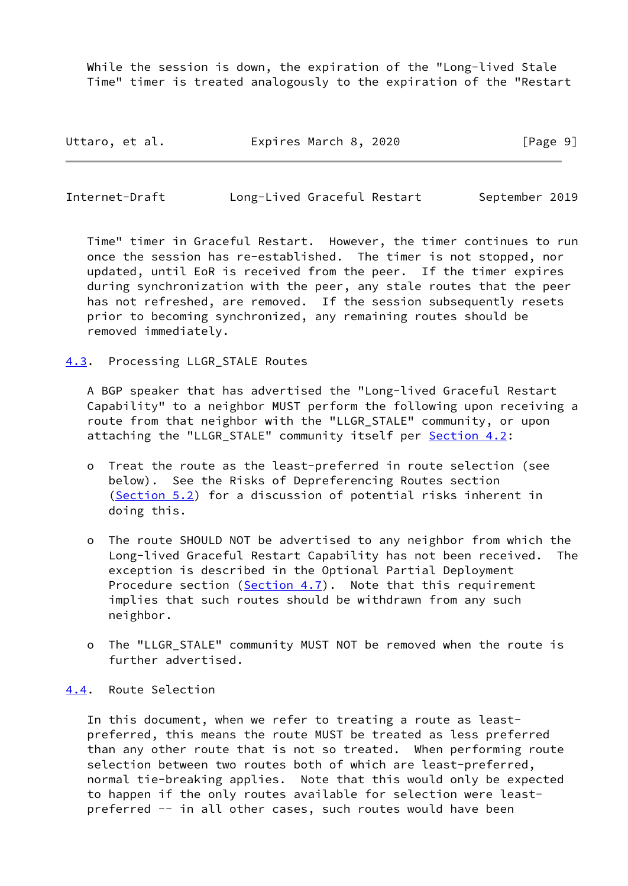While the session is down, the expiration of the "Long-lived Stale Time" timer is treated analogously to the expiration of the "Restart

| Uttaro, et al. | Expires March 8, 2020 | [Page 9] |
|----------------|-----------------------|----------|
|----------------|-----------------------|----------|

<span id="page-10-1"></span>Internet-Draft Long-Lived Graceful Restart September 2019

 Time" timer in Graceful Restart. However, the timer continues to run once the session has re-established. The timer is not stopped, nor updated, until EoR is received from the peer. If the timer expires during synchronization with the peer, any stale routes that the peer has not refreshed, are removed. If the session subsequently resets prior to becoming synchronized, any remaining routes should be removed immediately.

<span id="page-10-0"></span>[4.3](#page-10-0). Processing LLGR\_STALE Routes

 A BGP speaker that has advertised the "Long-lived Graceful Restart Capability" to a neighbor MUST perform the following upon receiving a route from that neighbor with the "LLGR\_STALE" community, or upon attaching the "LLGR\_STALE" community itself per [Section 4.2](#page-7-2):

- o Treat the route as the least-preferred in route selection (see below). See the Risks of Depreferencing Routes section ([Section 5.2\)](#page-18-2) for a discussion of potential risks inherent in doing this.
- o The route SHOULD NOT be advertised to any neighbor from which the Long-lived Graceful Restart Capability has not been received. The exception is described in the Optional Partial Deployment Procedure section [\(Section 4.7](#page-13-2)). Note that this requirement implies that such routes should be withdrawn from any such neighbor.
- o The "LLGR\_STALE" community MUST NOT be removed when the route is further advertised.

### <span id="page-10-2"></span>[4.4](#page-10-2). Route Selection

 In this document, when we refer to treating a route as least preferred, this means the route MUST be treated as less preferred than any other route that is not so treated. When performing route selection between two routes both of which are least-preferred, normal tie-breaking applies. Note that this would only be expected to happen if the only routes available for selection were least preferred -- in all other cases, such routes would have been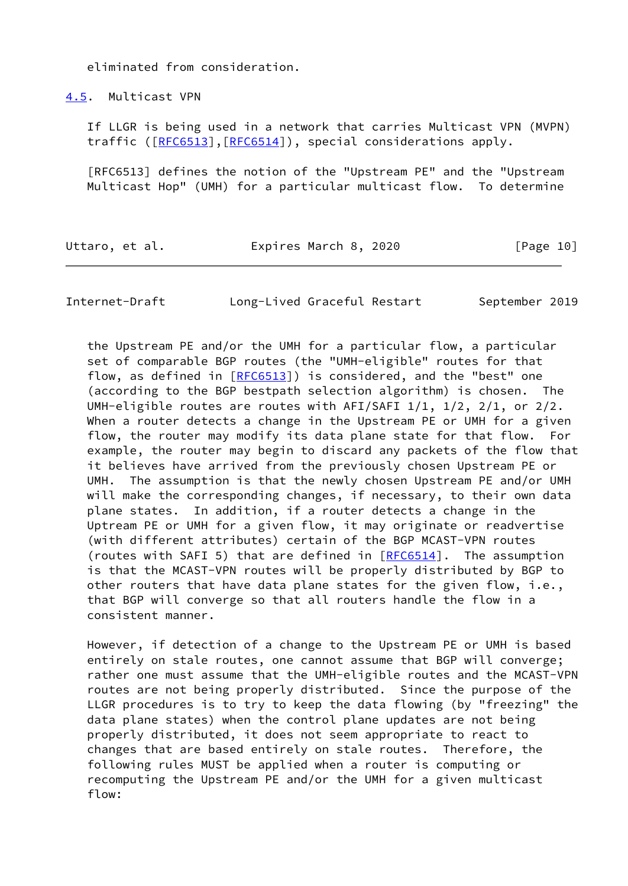eliminated from consideration.

<span id="page-11-0"></span>[4.5](#page-11-0). Multicast VPN

 If LLGR is being used in a network that carries Multicast VPN (MVPN) traffic ([\[RFC6513](https://datatracker.ietf.org/doc/pdf/rfc6513)],[[RFC6514\]](https://datatracker.ietf.org/doc/pdf/rfc6514)), special considerations apply.

 [RFC6513] defines the notion of the "Upstream PE" and the "Upstream Multicast Hop" (UMH) for a particular multicast flow. To determine

| Uttaro, et al. | Expires March 8, 2020 | [Page 10] |
|----------------|-----------------------|-----------|
|                |                       |           |

Internet-Draft Long-Lived Graceful Restart September 2019

 the Upstream PE and/or the UMH for a particular flow, a particular set of comparable BGP routes (the "UMH-eligible" routes for that flow, as defined in [\[RFC6513](https://datatracker.ietf.org/doc/pdf/rfc6513)]) is considered, and the "best" one (according to the BGP bestpath selection algorithm) is chosen. The UMH-eligible routes are routes with  $AFI/SAFI$   $1/1$ ,  $1/2$ ,  $2/1$ , or  $2/2$ . When a router detects a change in the Upstream PE or UMH for a given flow, the router may modify its data plane state for that flow. For example, the router may begin to discard any packets of the flow that it believes have arrived from the previously chosen Upstream PE or UMH. The assumption is that the newly chosen Upstream PE and/or UMH will make the corresponding changes, if necessary, to their own data plane states. In addition, if a router detects a change in the Uptream PE or UMH for a given flow, it may originate or readvertise (with different attributes) certain of the BGP MCAST-VPN routes (routes with SAFI 5) that are defined in  $[REC6514]$ . The assumption is that the MCAST-VPN routes will be properly distributed by BGP to other routers that have data plane states for the given flow, i.e., that BGP will converge so that all routers handle the flow in a consistent manner.

 However, if detection of a change to the Upstream PE or UMH is based entirely on stale routes, one cannot assume that BGP will converge; rather one must assume that the UMH-eligible routes and the MCAST-VPN routes are not being properly distributed. Since the purpose of the LLGR procedures is to try to keep the data flowing (by "freezing" the data plane states) when the control plane updates are not being properly distributed, it does not seem appropriate to react to changes that are based entirely on stale routes. Therefore, the following rules MUST be applied when a router is computing or recomputing the Upstream PE and/or the UMH for a given multicast flow: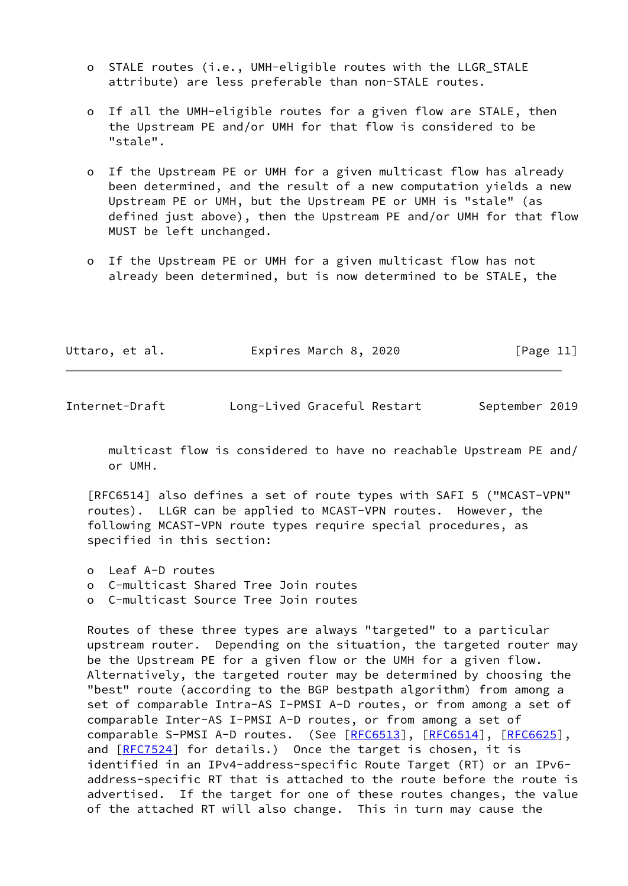- o STALE routes (i.e., UMH-eligible routes with the LLGR\_STALE attribute) are less preferable than non-STALE routes.
- o If all the UMH-eligible routes for a given flow are STALE, then the Upstream PE and/or UMH for that flow is considered to be "stale".
- o If the Upstream PE or UMH for a given multicast flow has already been determined, and the result of a new computation yields a new Upstream PE or UMH, but the Upstream PE or UMH is "stale" (as defined just above), then the Upstream PE and/or UMH for that flow MUST be left unchanged.
- o If the Upstream PE or UMH for a given multicast flow has not already been determined, but is now determined to be STALE, the

| Uttaro, et al. | Expires March 8, 2020 | [Page 11] |
|----------------|-----------------------|-----------|
|----------------|-----------------------|-----------|

 multicast flow is considered to have no reachable Upstream PE and/ or UMH.

 [RFC6514] also defines a set of route types with SAFI 5 ("MCAST-VPN" routes). LLGR can be applied to MCAST-VPN routes. However, the following MCAST-VPN route types require special procedures, as specified in this section:

- o Leaf A-D routes
- o C-multicast Shared Tree Join routes
- o C-multicast Source Tree Join routes

 Routes of these three types are always "targeted" to a particular upstream router. Depending on the situation, the targeted router may be the Upstream PE for a given flow or the UMH for a given flow. Alternatively, the targeted router may be determined by choosing the "best" route (according to the BGP bestpath algorithm) from among a set of comparable Intra-AS I-PMSI A-D routes, or from among a set of comparable Inter-AS I-PMSI A-D routes, or from among a set of comparable S-PMSI A-D routes. (See [\[RFC6513](https://datatracker.ietf.org/doc/pdf/rfc6513)], [\[RFC6514](https://datatracker.ietf.org/doc/pdf/rfc6514)], [[RFC6625](https://datatracker.ietf.org/doc/pdf/rfc6625)], and [\[RFC7524](https://datatracker.ietf.org/doc/pdf/rfc7524)] for details.) Once the target is chosen, it is identified in an IPv4-address-specific Route Target (RT) or an IPv6 address-specific RT that is attached to the route before the route is advertised. If the target for one of these routes changes, the value of the attached RT will also change. This in turn may cause the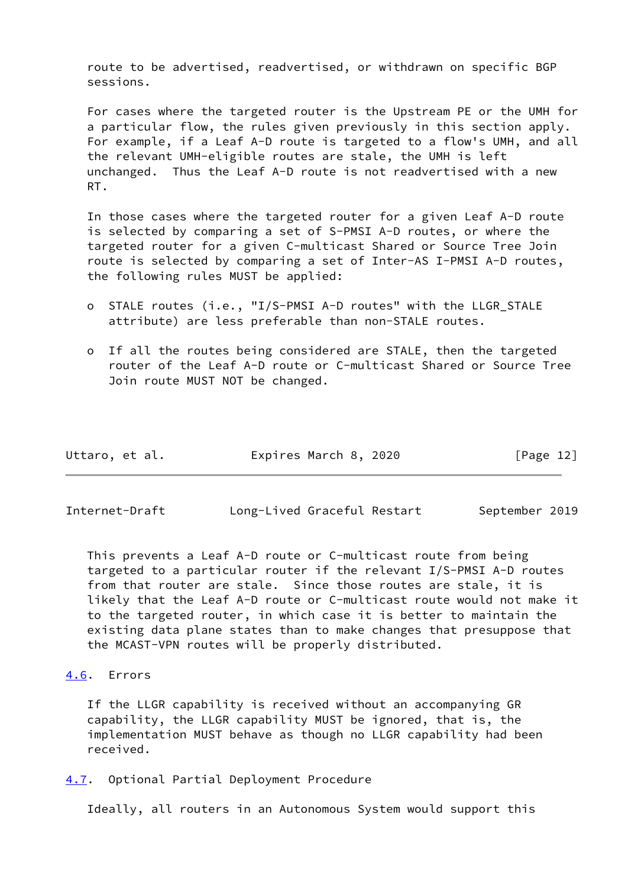route to be advertised, readvertised, or withdrawn on specific BGP sessions.

 For cases where the targeted router is the Upstream PE or the UMH for a particular flow, the rules given previously in this section apply. For example, if a Leaf A-D route is targeted to a flow's UMH, and all the relevant UMH-eligible routes are stale, the UMH is left unchanged. Thus the Leaf A-D route is not readvertised with a new RT.

 In those cases where the targeted router for a given Leaf A-D route is selected by comparing a set of S-PMSI A-D routes, or where the targeted router for a given C-multicast Shared or Source Tree Join route is selected by comparing a set of Inter-AS I-PMSI A-D routes, the following rules MUST be applied:

- o STALE routes (i.e., "I/S-PMSI A-D routes" with the LLGR\_STALE attribute) are less preferable than non-STALE routes.
- o If all the routes being considered are STALE, then the targeted router of the Leaf A-D route or C-multicast Shared or Source Tree Join route MUST NOT be changed.

| Uttaro, et al. | Expires March 8, 2020 | [Page 12] |
|----------------|-----------------------|-----------|
|----------------|-----------------------|-----------|

<span id="page-13-1"></span>Internet-Draft Long-Lived Graceful Restart September 2019

 This prevents a Leaf A-D route or C-multicast route from being targeted to a particular router if the relevant I/S-PMSI A-D routes from that router are stale. Since those routes are stale, it is likely that the Leaf A-D route or C-multicast route would not make it to the targeted router, in which case it is better to maintain the existing data plane states than to make changes that presuppose that the MCAST-VPN routes will be properly distributed.

# <span id="page-13-0"></span>[4.6](#page-13-0). Errors

 If the LLGR capability is received without an accompanying GR capability, the LLGR capability MUST be ignored, that is, the implementation MUST behave as though no LLGR capability had been received.

<span id="page-13-2"></span>[4.7](#page-13-2). Optional Partial Deployment Procedure

Ideally, all routers in an Autonomous System would support this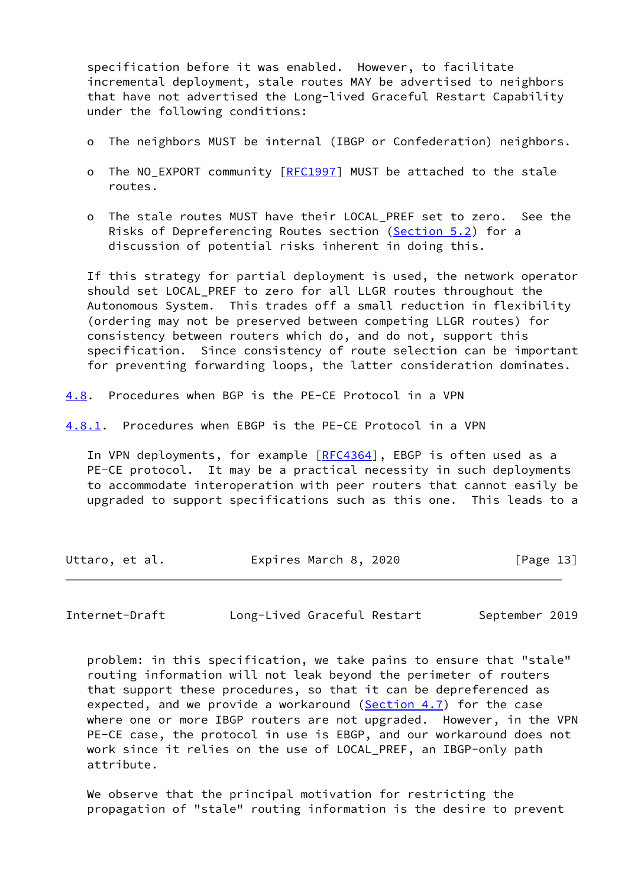specification before it was enabled. However, to facilitate incremental deployment, stale routes MAY be advertised to neighbors that have not advertised the Long-lived Graceful Restart Capability under the following conditions:

- o The neighbors MUST be internal (IBGP or Confederation) neighbors.
- o The NO\_EXPORT community [[RFC1997\]](https://datatracker.ietf.org/doc/pdf/rfc1997) MUST be attached to the stale routes.
- o The stale routes MUST have their LOCAL\_PREF set to zero. See the Risks of Depreferencing Routes section ([Section 5.2](#page-18-2)) for a discussion of potential risks inherent in doing this.

 If this strategy for partial deployment is used, the network operator should set LOCAL PREF to zero for all LLGR routes throughout the Autonomous System. This trades off a small reduction in flexibility (ordering may not be preserved between competing LLGR routes) for consistency between routers which do, and do not, support this specification. Since consistency of route selection can be important for preventing forwarding loops, the latter consideration dominates.

<span id="page-14-0"></span>[4.8](#page-14-0). Procedures when BGP is the PE-CE Protocol in a VPN

<span id="page-14-1"></span>[4.8.1](#page-14-1). Procedures when EBGP is the PE-CE Protocol in a VPN

In VPN deployments, for example [\[RFC4364](https://datatracker.ietf.org/doc/pdf/rfc4364)], EBGP is often used as a PE-CE protocol. It may be a practical necessity in such deployments to accommodate interoperation with peer routers that cannot easily be upgraded to support specifications such as this one. This leads to a

Uttaro, et al. Expires March 8, 2020 [Page 13]

Internet-Draft Long-Lived Graceful Restart September 2019

 problem: in this specification, we take pains to ensure that "stale" routing information will not leak beyond the perimeter of routers that support these procedures, so that it can be depreferenced as expected, and we provide a workaround  $(Sec<sub>tion</sub> 4.7)$  for the case where one or more IBGP routers are not upgraded. However, in the VPN PE-CE case, the protocol in use is EBGP, and our workaround does not work since it relies on the use of LOCAL\_PREF, an IBGP-only path attribute.

 We observe that the principal motivation for restricting the propagation of "stale" routing information is the desire to prevent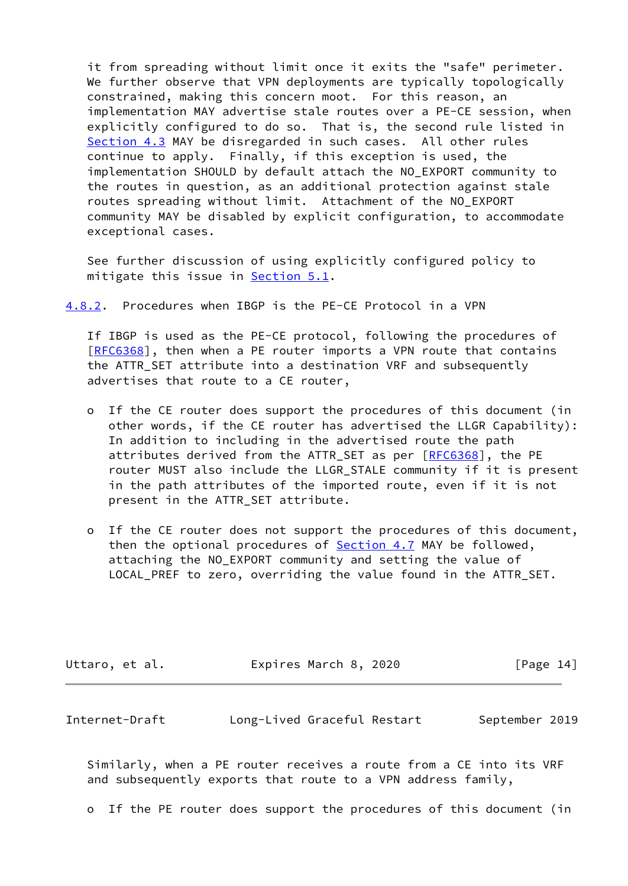it from spreading without limit once it exits the "safe" perimeter. We further observe that VPN deployments are typically topologically constrained, making this concern moot. For this reason, an implementation MAY advertise stale routes over a PE-CE session, when explicitly configured to do so. That is, the second rule listed in [Section 4.3](#page-10-0) MAY be disregarded in such cases. All other rules continue to apply. Finally, if this exception is used, the implementation SHOULD by default attach the NO\_EXPORT community to the routes in question, as an additional protection against stale routes spreading without limit. Attachment of the NO\_EXPORT community MAY be disabled by explicit configuration, to accommodate exceptional cases.

 See further discussion of using explicitly configured policy to mitigate this issue in **[Section 5.1](#page-18-0)**.

<span id="page-15-1"></span>[4.8.2](#page-15-1). Procedures when IBGP is the PE-CE Protocol in a VPN

 If IBGP is used as the PE-CE protocol, following the procedures of [\[RFC6368](https://datatracker.ietf.org/doc/pdf/rfc6368)], then when a PE router imports a VPN route that contains the ATTR\_SET attribute into a destination VRF and subsequently advertises that route to a CE router,

- o If the CE router does support the procedures of this document (in other words, if the CE router has advertised the LLGR Capability): In addition to including in the advertised route the path attributes derived from the ATTR\_SET as per [\[RFC6368](https://datatracker.ietf.org/doc/pdf/rfc6368)], the PE router MUST also include the LLGR\_STALE community if it is present in the path attributes of the imported route, even if it is not present in the ATTR\_SET attribute.
- o If the CE router does not support the procedures of this document, then the optional procedures of **[Section 4.7](#page-13-2) MAY** be followed, attaching the NO\_EXPORT community and setting the value of LOCAL PREF to zero, overriding the value found in the ATTR SET.

| Uttaro, et al. | Expires March 8, 2020 | [Page 14] |
|----------------|-----------------------|-----------|
|                |                       |           |

<span id="page-15-0"></span>

| Internet-Draft |  | Long-Lived Graceful Restart | September 2019 |  |
|----------------|--|-----------------------------|----------------|--|
|----------------|--|-----------------------------|----------------|--|

 Similarly, when a PE router receives a route from a CE into its VRF and subsequently exports that route to a VPN address family,

o If the PE router does support the procedures of this document (in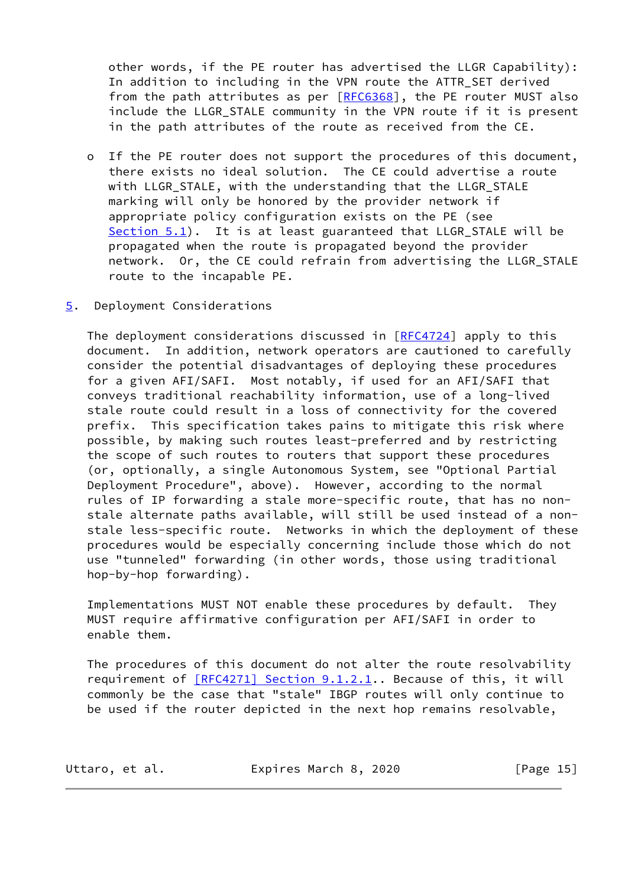other words, if the PE router has advertised the LLGR Capability): In addition to including in the VPN route the ATTR\_SET derived from the path attributes as per  $[REC6368]$ , the PE router MUST also include the LLGR\_STALE community in the VPN route if it is present in the path attributes of the route as received from the CE.

- o If the PE router does not support the procedures of this document, there exists no ideal solution. The CE could advertise a route with LLGR\_STALE, with the understanding that the LLGR\_STALE marking will only be honored by the provider network if appropriate policy configuration exists on the PE (see [Section 5.1](#page-18-0)). It is at least guaranteed that LLGR\_STALE will be propagated when the route is propagated beyond the provider network. Or, the CE could refrain from advertising the LLGR\_STALE route to the incapable PE.
- <span id="page-16-0"></span>[5](#page-16-0). Deployment Considerations

 The deployment considerations discussed in [[RFC4724\]](https://datatracker.ietf.org/doc/pdf/rfc4724) apply to this document. In addition, network operators are cautioned to carefully consider the potential disadvantages of deploying these procedures for a given AFI/SAFI. Most notably, if used for an AFI/SAFI that conveys traditional reachability information, use of a long-lived stale route could result in a loss of connectivity for the covered prefix. This specification takes pains to mitigate this risk where possible, by making such routes least-preferred and by restricting the scope of such routes to routers that support these procedures (or, optionally, a single Autonomous System, see "Optional Partial Deployment Procedure", above). However, according to the normal rules of IP forwarding a stale more-specific route, that has no non stale alternate paths available, will still be used instead of a non stale less-specific route. Networks in which the deployment of these procedures would be especially concerning include those which do not use "tunneled" forwarding (in other words, those using traditional hop-by-hop forwarding).

 Implementations MUST NOT enable these procedures by default. They MUST require affirmative configuration per AFI/SAFI in order to enable them.

 The procedures of this document do not alter the route resolvability requirement of [\[RFC4271\] Section](https://datatracker.ietf.org/doc/pdf/rfc4271#section-9.1.2.1) 9.1.2.1.. Because of this, it will commonly be the case that "stale" IBGP routes will only continue to be used if the router depicted in the next hop remains resolvable,

| Uttaro, et al. | Expires March 8, 2020 | [Page 15] |
|----------------|-----------------------|-----------|
|----------------|-----------------------|-----------|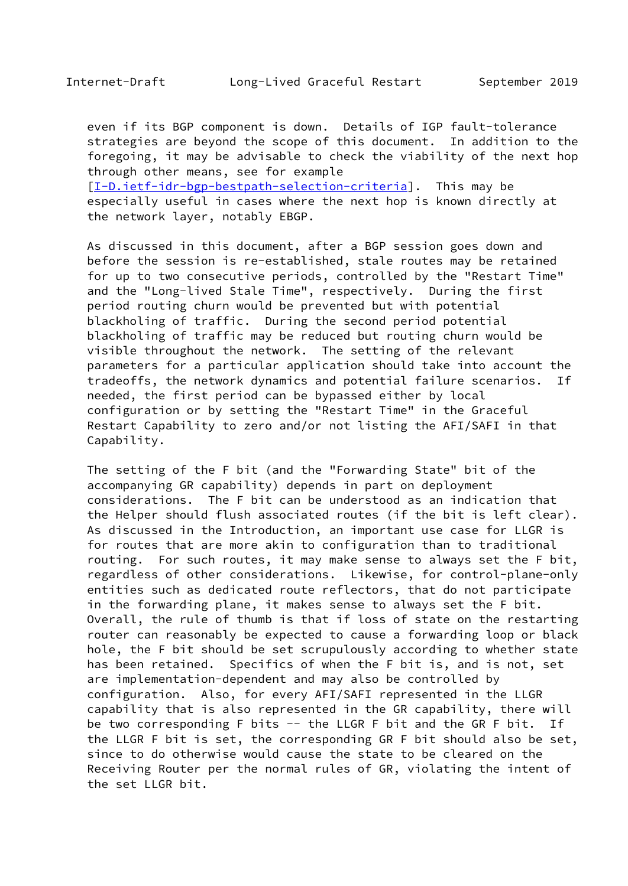even if its BGP component is down. Details of IGP fault-tolerance strategies are beyond the scope of this document. In addition to the foregoing, it may be advisable to check the viability of the next hop through other means, see for example [\[I-D.ietf-idr-bgp-bestpath-selection-criteria](#page-26-2)]. This may be

 especially useful in cases where the next hop is known directly at the network layer, notably EBGP.

 As discussed in this document, after a BGP session goes down and before the session is re-established, stale routes may be retained for up to two consecutive periods, controlled by the "Restart Time" and the "Long-lived Stale Time", respectively. During the first period routing churn would be prevented but with potential blackholing of traffic. During the second period potential blackholing of traffic may be reduced but routing churn would be visible throughout the network. The setting of the relevant parameters for a particular application should take into account the tradeoffs, the network dynamics and potential failure scenarios. If needed, the first period can be bypassed either by local configuration or by setting the "Restart Time" in the Graceful Restart Capability to zero and/or not listing the AFI/SAFI in that Capability.

 The setting of the F bit (and the "Forwarding State" bit of the accompanying GR capability) depends in part on deployment considerations. The F bit can be understood as an indication that the Helper should flush associated routes (if the bit is left clear). As discussed in the Introduction, an important use case for LLGR is for routes that are more akin to configuration than to traditional routing. For such routes, it may make sense to always set the F bit, regardless of other considerations. Likewise, for control-plane-only entities such as dedicated route reflectors, that do not participate in the forwarding plane, it makes sense to always set the F bit. Overall, the rule of thumb is that if loss of state on the restarting router can reasonably be expected to cause a forwarding loop or black hole, the F bit should be set scrupulously according to whether state has been retained. Specifics of when the F bit is, and is not, set are implementation-dependent and may also be controlled by configuration. Also, for every AFI/SAFI represented in the LLGR capability that is also represented in the GR capability, there will be two corresponding F bits -- the LLGR F bit and the GR F bit. If the LLGR F bit is set, the corresponding GR F bit should also be set, since to do otherwise would cause the state to be cleared on the Receiving Router per the normal rules of GR, violating the intent of the set LLGR bit.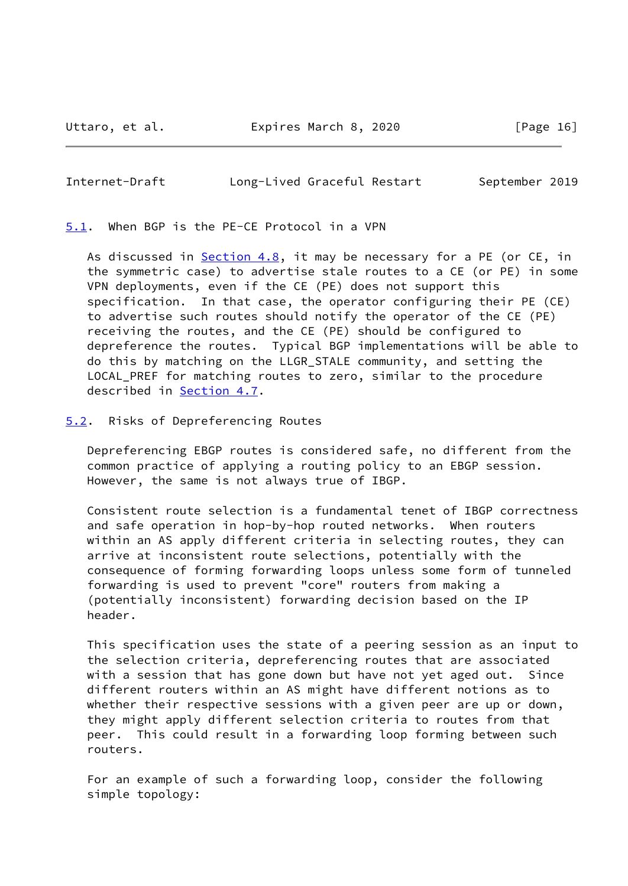<span id="page-18-1"></span><span id="page-18-0"></span>[5.1](#page-18-0). When BGP is the PE-CE Protocol in a VPN

As discussed in [Section 4.8](#page-14-0), it may be necessary for a PE (or CE, in the symmetric case) to advertise stale routes to a CE (or PE) in some VPN deployments, even if the CE (PE) does not support this specification. In that case, the operator configuring their PE (CE) to advertise such routes should notify the operator of the CE (PE) receiving the routes, and the CE (PE) should be configured to depreference the routes. Typical BGP implementations will be able to do this by matching on the LLGR\_STALE community, and setting the LOCAL\_PREF for matching routes to zero, similar to the procedure described in [Section 4.7](#page-13-2).

<span id="page-18-2"></span>[5.2](#page-18-2). Risks of Depreferencing Routes

 Depreferencing EBGP routes is considered safe, no different from the common practice of applying a routing policy to an EBGP session. However, the same is not always true of IBGP.

 Consistent route selection is a fundamental tenet of IBGP correctness and safe operation in hop-by-hop routed networks. When routers within an AS apply different criteria in selecting routes, they can arrive at inconsistent route selections, potentially with the consequence of forming forwarding loops unless some form of tunneled forwarding is used to prevent "core" routers from making a (potentially inconsistent) forwarding decision based on the IP header.

 This specification uses the state of a peering session as an input to the selection criteria, depreferencing routes that are associated with a session that has gone down but have not yet aged out. Since different routers within an AS might have different notions as to whether their respective sessions with a given peer are up or down, they might apply different selection criteria to routes from that peer. This could result in a forwarding loop forming between such routers.

 For an example of such a forwarding loop, consider the following simple topology: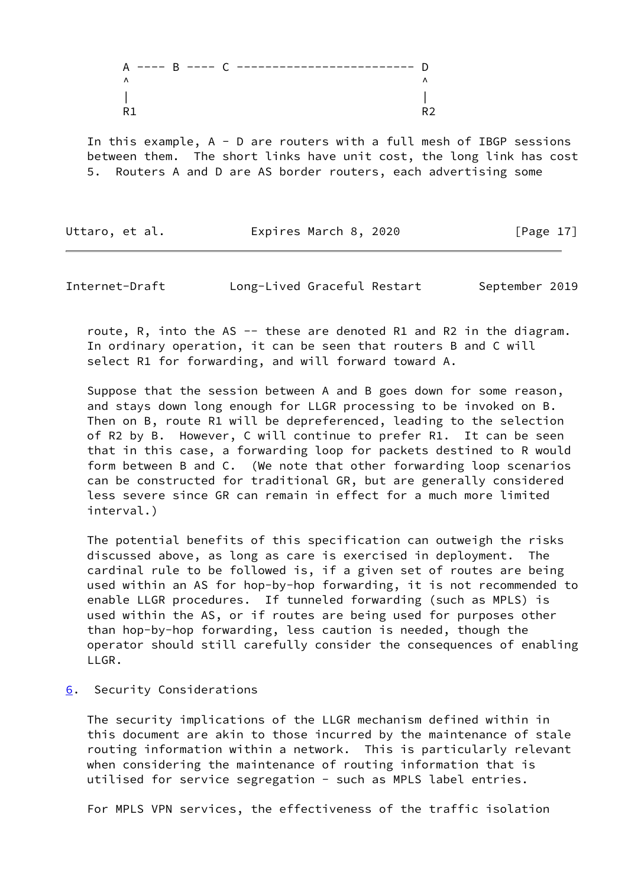In this example, A - D are routers with a full mesh of IBGP sessions between them. The short links have unit cost, the long link has cost 5. Routers A and D are AS border routers, each advertising some

Uttaro, et al. **Expires March 8, 2020** [Page 17]

<span id="page-19-1"></span>Internet-Draft Long-Lived Graceful Restart September 2019

 route, R, into the AS -- these are denoted R1 and R2 in the diagram. In ordinary operation, it can be seen that routers B and C will select R1 for forwarding, and will forward toward A.

 Suppose that the session between A and B goes down for some reason, and stays down long enough for LLGR processing to be invoked on B. Then on B, route R1 will be depreferenced, leading to the selection of R2 by B. However, C will continue to prefer R1. It can be seen that in this case, a forwarding loop for packets destined to R would form between B and C. (We note that other forwarding loop scenarios can be constructed for traditional GR, but are generally considered less severe since GR can remain in effect for a much more limited interval.)

 The potential benefits of this specification can outweigh the risks discussed above, as long as care is exercised in deployment. The cardinal rule to be followed is, if a given set of routes are being used within an AS for hop-by-hop forwarding, it is not recommended to enable LLGR procedures. If tunneled forwarding (such as MPLS) is used within the AS, or if routes are being used for purposes other than hop-by-hop forwarding, less caution is needed, though the operator should still carefully consider the consequences of enabling LLGR.

# <span id="page-19-0"></span>[6](#page-19-0). Security Considerations

 The security implications of the LLGR mechanism defined within in this document are akin to those incurred by the maintenance of stale routing information within a network. This is particularly relevant when considering the maintenance of routing information that is utilised for service segregation - such as MPLS label entries.

For MPLS VPN services, the effectiveness of the traffic isolation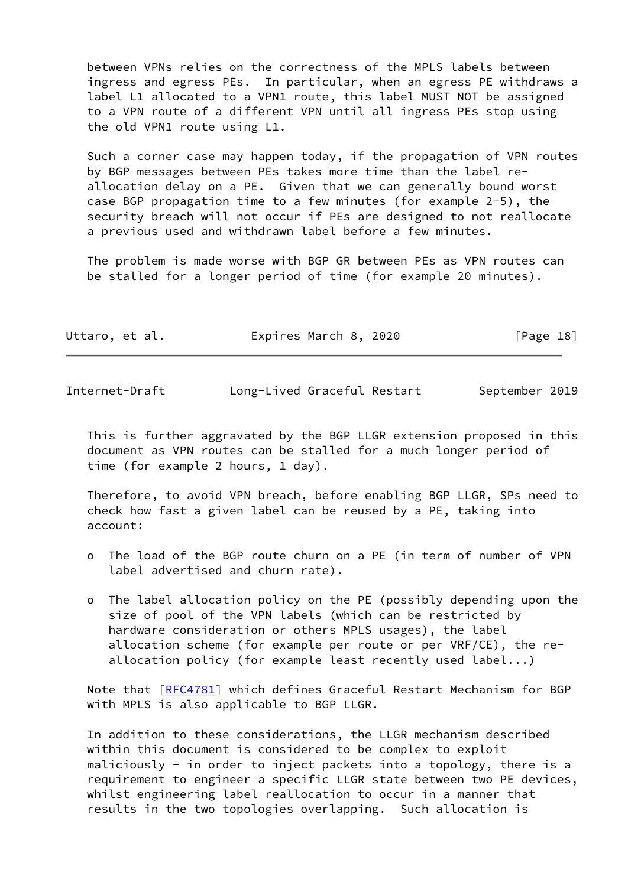between VPNs relies on the correctness of the MPLS labels between ingress and egress PEs. In particular, when an egress PE withdraws a label L1 allocated to a VPN1 route, this label MUST NOT be assigned to a VPN route of a different VPN until all ingress PEs stop using the old VPN1 route using L1.

 Such a corner case may happen today, if the propagation of VPN routes by BGP messages between PEs takes more time than the label re allocation delay on a PE. Given that we can generally bound worst case BGP propagation time to a few minutes (for example 2-5), the security breach will not occur if PEs are designed to not reallocate a previous used and withdrawn label before a few minutes.

 The problem is made worse with BGP GR between PEs as VPN routes can be stalled for a longer period of time (for example 20 minutes).

| Uttaro, et al. | Expires March 8, 2020 | [Page 18] |
|----------------|-----------------------|-----------|
|                |                       |           |

<span id="page-20-0"></span>Internet-Draft Long-Lived Graceful Restart September 2019

 This is further aggravated by the BGP LLGR extension proposed in this document as VPN routes can be stalled for a much longer period of time (for example 2 hours, 1 day).

 Therefore, to avoid VPN breach, before enabling BGP LLGR, SPs need to check how fast a given label can be reused by a PE, taking into account:

- o The load of the BGP route churn on a PE (in term of number of VPN label advertised and churn rate).
- o The label allocation policy on the PE (possibly depending upon the size of pool of the VPN labels (which can be restricted by hardware consideration or others MPLS usages), the label allocation scheme (for example per route or per VRF/CE), the re allocation policy (for example least recently used label...)

 Note that [[RFC4781](https://datatracker.ietf.org/doc/pdf/rfc4781)] which defines Graceful Restart Mechanism for BGP with MPLS is also applicable to BGP LLGR.

 In addition to these considerations, the LLGR mechanism described within this document is considered to be complex to exploit maliciously - in order to inject packets into a topology, there is a requirement to engineer a specific LLGR state between two PE devices, whilst engineering label reallocation to occur in a manner that results in the two topologies overlapping. Such allocation is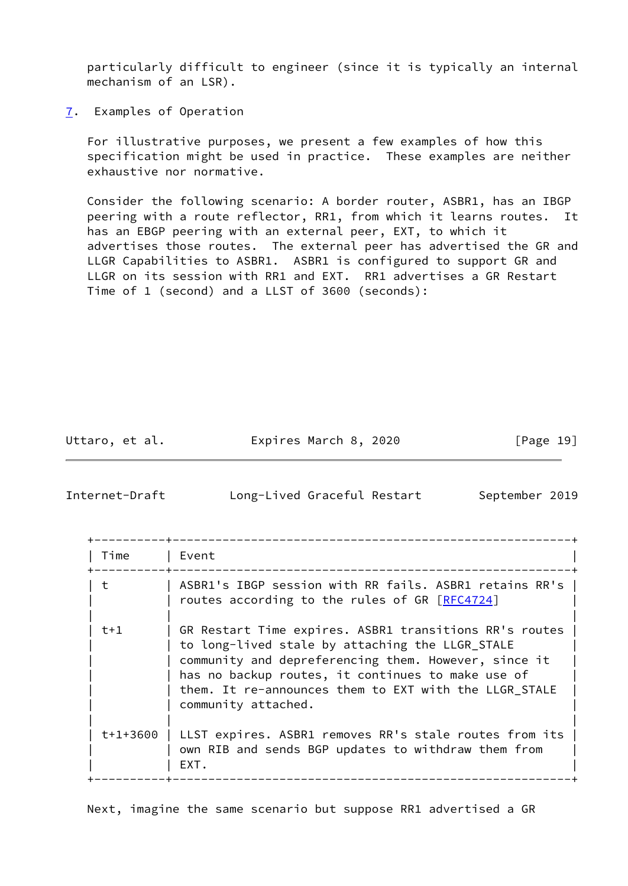particularly difficult to engineer (since it is typically an internal mechanism of an LSR).

<span id="page-21-0"></span>[7](#page-21-0). Examples of Operation

 For illustrative purposes, we present a few examples of how this specification might be used in practice. These examples are neither exhaustive nor normative.

 Consider the following scenario: A border router, ASBR1, has an IBGP peering with a route reflector, RR1, from which it learns routes. It has an EBGP peering with an external peer, EXT, to which it advertises those routes. The external peer has advertised the GR and LLGR Capabilities to ASBR1. ASBR1 is configured to support GR and LLGR on its session with RR1 and EXT. RR1 advertises a GR Restart Time of 1 (second) and a LLST of 3600 (seconds):

Uttaro, et al. **Expires March 8, 2020** [Page 19]

Internet-Draft Long-Lived Graceful Restart September 2019

| Time  | Event                                                                                                                                                                                                                                                                                                  |
|-------|--------------------------------------------------------------------------------------------------------------------------------------------------------------------------------------------------------------------------------------------------------------------------------------------------------|
| ŧ     | ASBR1's IBGP session with RR fails. ASBR1 retains RR's  <br>routes according to the rules of GR [RFC4724]                                                                                                                                                                                              |
| $t+1$ | GR Restart Time expires. ASBR1 transitions RR's routes<br>to long-lived stale by attaching the LLGR_STALE<br>community and depreferencing them. However, since it<br>has no backup routes, it continues to make use of<br>them. It re-announces them to EXT with the LLGR_STALE<br>community attached. |
|       | t+1+3600   LLST expires. ASBR1 removes RR's stale routes from its<br>own RIB and sends BGP updates to withdraw them from<br>EXT.                                                                                                                                                                       |

Next, imagine the same scenario but suppose RR1 advertised a GR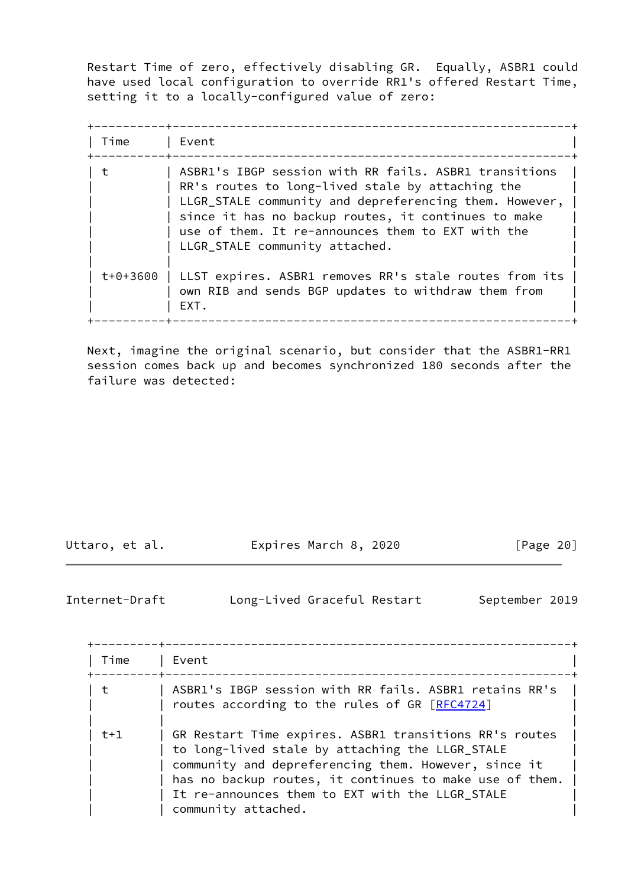Restart Time of zero, effectively disabling GR. Equally, ASBR1 could have used local configuration to override RR1's offered Restart Time, setting it to a locally-configured value of zero:

| Time     | _______________<br>  Event                                                                                                                                                                                                                                                                                        |
|----------|-------------------------------------------------------------------------------------------------------------------------------------------------------------------------------------------------------------------------------------------------------------------------------------------------------------------|
| t        | ASBR1's IBGP session with RR fails. ASBR1 transitions<br>RR's routes to long-lived stale by attaching the<br>LLGR_STALE community and depreferencing them. However,<br>since it has no backup routes, it continues to make<br>use of them. It re-announces them to EXT with the<br>LLGR_STALE community attached. |
| t+0+3600 | LLST expires. ASBR1 removes RR's stale routes from its<br>own RIB and sends BGP updates to withdraw them from<br>EXT.                                                                                                                                                                                             |

 Next, imagine the original scenario, but consider that the ASBR1-RR1 session comes back up and becomes synchronized 180 seconds after the failure was detected:

| Uttaro, et al. |  |  |
|----------------|--|--|
|----------------|--|--|

Expires March 8, 2020 [Page 20]

<span id="page-22-0"></span>Internet-Draft Long-Lived Graceful Restart September 2019

| Time  | Event                                                                                                                                                                                                                                                                                                  |
|-------|--------------------------------------------------------------------------------------------------------------------------------------------------------------------------------------------------------------------------------------------------------------------------------------------------------|
| t     | ASBR1's IBGP session with RR fails. ASBR1 retains RR's<br>routes according to the rules of GR [RFC4724]                                                                                                                                                                                                |
| $t+1$ | GR Restart Time expires. ASBR1 transitions RR's routes<br>to long-lived stale by attaching the LLGR_STALE<br>community and depreferencing them. However, since it<br>has no backup routes, it continues to make use of them.<br>It re-announces them to EXT with the LLGR STALE<br>community attached. |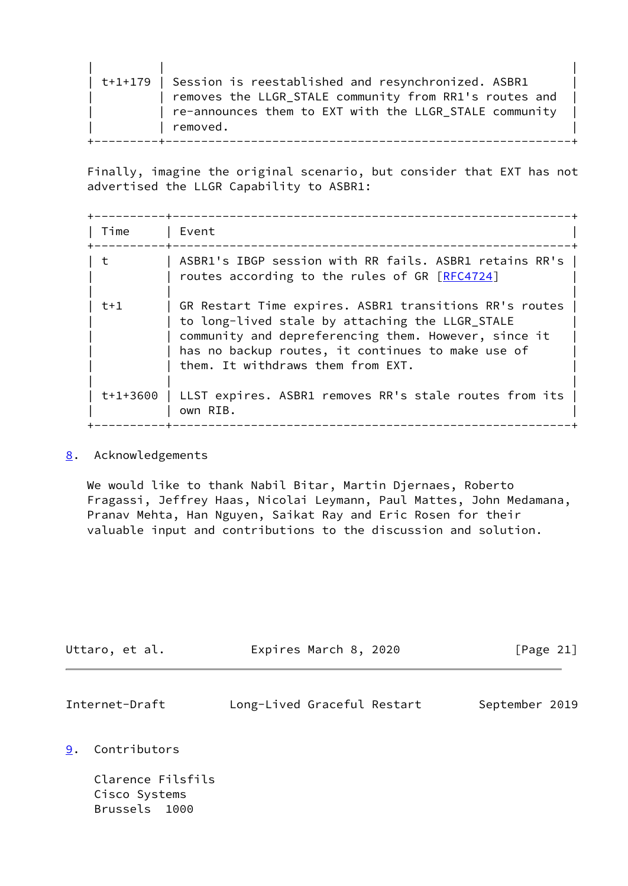| t+1+179   Session is reestablished and resynchronized. ASBR1 |  |
|--------------------------------------------------------------|--|
| removes the LLGR_STALE community from RR1's routes and       |  |
| re-announces them to EXT with the LLGR STALE community       |  |
| removed.                                                     |  |
|                                                              |  |

 Finally, imagine the original scenario, but consider that EXT has not advertised the LLGR Capability to ASBR1:

| Time     | ______________________________<br>Event                                                                                                                                                                                                                     |
|----------|-------------------------------------------------------------------------------------------------------------------------------------------------------------------------------------------------------------------------------------------------------------|
|          | ASBR1's IBGP session with RR fails. ASBR1 retains RR's  <br>routes according to the rules of GR [RFC4724]                                                                                                                                                   |
| $t+1$    | GR Restart Time expires. ASBR1 transitions RR's routes<br>to long-lived stale by attaching the LLGR_STALE<br>community and depreferencing them. However, since it<br>has no backup routes, it continues to make use of<br>them. It withdraws them from EXT. |
| t+1+3600 | LLST expires. ASBR1 removes RR's stale routes from its<br>own RIB.                                                                                                                                                                                          |

## <span id="page-23-0"></span>[8](#page-23-0). Acknowledgements

 We would like to thank Nabil Bitar, Martin Djernaes, Roberto Fragassi, Jeffrey Haas, Nicolai Leymann, Paul Mattes, John Medamana, Pranav Mehta, Han Nguyen, Saikat Ray and Eric Rosen for their valuable input and contributions to the discussion and solution.

<span id="page-23-2"></span>

| Uttaro, et al.     | Expires March 8, 2020       | [Page 21]      |
|--------------------|-----------------------------|----------------|
| Internet-Draft     | Long-Lived Graceful Restart | September 2019 |
| 9.<br>Contributors |                             |                |
| Clarence Filefile  |                             |                |

<span id="page-23-1"></span> Clarence Filsfils Cisco Systems Brussels 1000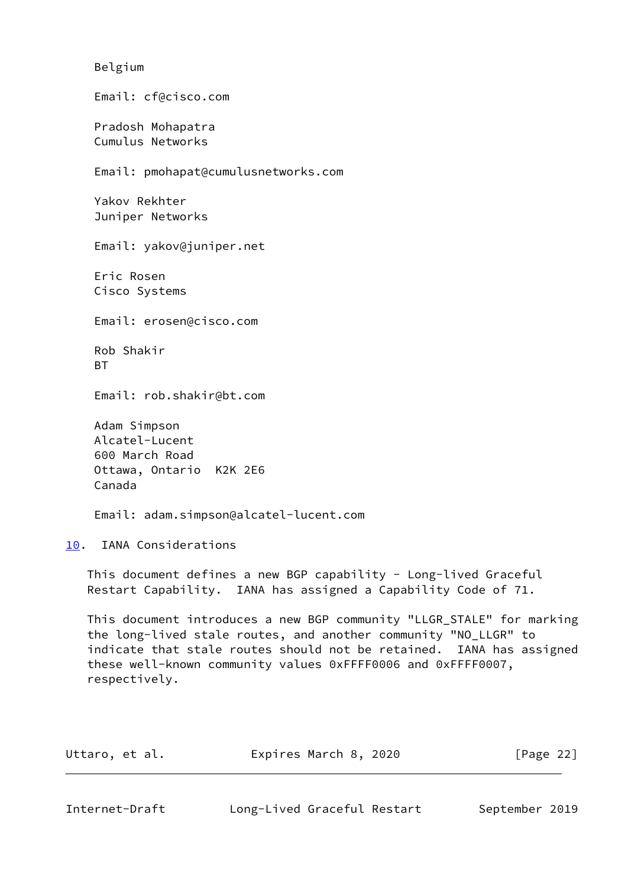| Email: cf@cisco.com<br>Pradosh Mohapatra<br>Cumulus Networks<br>Email: pmohapat@cumulusnetworks.com<br>Yakov Rekhter<br>Juniper Networks<br>Email: yakov@juniper.net<br>Eric Rosen<br>Cisco Systems<br>Email: erosen@cisco.com<br>Rob Shakir<br>BT<br>Email: rob.shakir@bt.com<br>Adam Simpson<br>Alcatel-Lucent<br>600 March Road<br>Ottawa, Ontario K2K 2E6<br>Canada<br>Email: adam.simpson@alcatel-lucent.com<br>10. IANA Considerations<br>This document defines a new BGP capability - Long-lived Graceful<br>Restart Capability. IANA has assigned a Capability Code of 71.<br>This document introduces a new BGP community "LLGR_STALE" for marking<br>the long-lived stale routes, and another community "NO_LLGR" to<br>indicate that stale routes should not be retained. IANA has assigned<br>these well-known community values 0xFFFF0006 and 0xFFFF0007,<br>respectively.<br>Expires March 8, 2020<br>[Page $22$ ]<br>Uttaro, et al. | Belgium |  |
|----------------------------------------------------------------------------------------------------------------------------------------------------------------------------------------------------------------------------------------------------------------------------------------------------------------------------------------------------------------------------------------------------------------------------------------------------------------------------------------------------------------------------------------------------------------------------------------------------------------------------------------------------------------------------------------------------------------------------------------------------------------------------------------------------------------------------------------------------------------------------------------------------------------------------------------------------|---------|--|
|                                                                                                                                                                                                                                                                                                                                                                                                                                                                                                                                                                                                                                                                                                                                                                                                                                                                                                                                                    |         |  |
|                                                                                                                                                                                                                                                                                                                                                                                                                                                                                                                                                                                                                                                                                                                                                                                                                                                                                                                                                    |         |  |
|                                                                                                                                                                                                                                                                                                                                                                                                                                                                                                                                                                                                                                                                                                                                                                                                                                                                                                                                                    |         |  |
|                                                                                                                                                                                                                                                                                                                                                                                                                                                                                                                                                                                                                                                                                                                                                                                                                                                                                                                                                    |         |  |
|                                                                                                                                                                                                                                                                                                                                                                                                                                                                                                                                                                                                                                                                                                                                                                                                                                                                                                                                                    |         |  |
|                                                                                                                                                                                                                                                                                                                                                                                                                                                                                                                                                                                                                                                                                                                                                                                                                                                                                                                                                    |         |  |
|                                                                                                                                                                                                                                                                                                                                                                                                                                                                                                                                                                                                                                                                                                                                                                                                                                                                                                                                                    |         |  |
|                                                                                                                                                                                                                                                                                                                                                                                                                                                                                                                                                                                                                                                                                                                                                                                                                                                                                                                                                    |         |  |
|                                                                                                                                                                                                                                                                                                                                                                                                                                                                                                                                                                                                                                                                                                                                                                                                                                                                                                                                                    |         |  |
|                                                                                                                                                                                                                                                                                                                                                                                                                                                                                                                                                                                                                                                                                                                                                                                                                                                                                                                                                    |         |  |
|                                                                                                                                                                                                                                                                                                                                                                                                                                                                                                                                                                                                                                                                                                                                                                                                                                                                                                                                                    |         |  |
|                                                                                                                                                                                                                                                                                                                                                                                                                                                                                                                                                                                                                                                                                                                                                                                                                                                                                                                                                    |         |  |
|                                                                                                                                                                                                                                                                                                                                                                                                                                                                                                                                                                                                                                                                                                                                                                                                                                                                                                                                                    |         |  |
|                                                                                                                                                                                                                                                                                                                                                                                                                                                                                                                                                                                                                                                                                                                                                                                                                                                                                                                                                    |         |  |
|                                                                                                                                                                                                                                                                                                                                                                                                                                                                                                                                                                                                                                                                                                                                                                                                                                                                                                                                                    |         |  |

<span id="page-24-1"></span><span id="page-24-0"></span>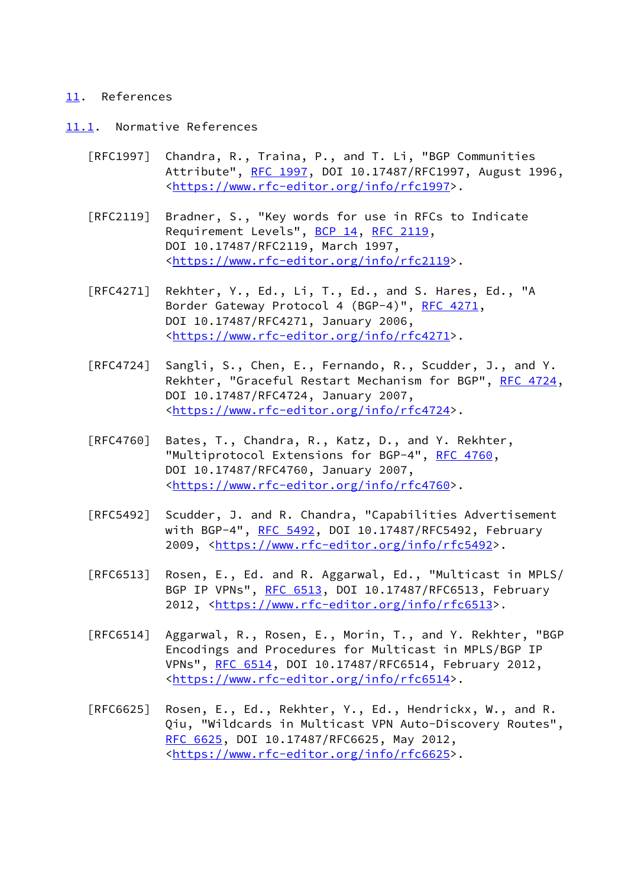#### <span id="page-25-0"></span>[11.](#page-25-0) References

- <span id="page-25-1"></span>[11.1](#page-25-1). Normative References
	- [RFC1997] Chandra, R., Traina, P., and T. Li, "BGP Communities Attribute", [RFC 1997,](https://datatracker.ietf.org/doc/pdf/rfc1997) DOI 10.17487/RFC1997, August 1996, <[https://www.rfc-editor.org/info/rfc1997>](https://www.rfc-editor.org/info/rfc1997).
	- [RFC2119] Bradner, S., "Key words for use in RFCs to Indicate Requirement Levels", [BCP 14](https://datatracker.ietf.org/doc/pdf/bcp14), [RFC 2119](https://datatracker.ietf.org/doc/pdf/rfc2119), DOI 10.17487/RFC2119, March 1997, <[https://www.rfc-editor.org/info/rfc2119>](https://www.rfc-editor.org/info/rfc2119).
	- [RFC4271] Rekhter, Y., Ed., Li, T., Ed., and S. Hares, Ed., "A Border Gateway Protocol 4 (BGP-4)", [RFC 4271,](https://datatracker.ietf.org/doc/pdf/rfc4271) DOI 10.17487/RFC4271, January 2006, <[https://www.rfc-editor.org/info/rfc4271>](https://www.rfc-editor.org/info/rfc4271).
	- [RFC4724] Sangli, S., Chen, E., Fernando, R., Scudder, J., and Y. Rekhter, "Graceful Restart Mechanism for BGP", [RFC 4724](https://datatracker.ietf.org/doc/pdf/rfc4724), DOI 10.17487/RFC4724, January 2007, <[https://www.rfc-editor.org/info/rfc4724>](https://www.rfc-editor.org/info/rfc4724).
	- [RFC4760] Bates, T., Chandra, R., Katz, D., and Y. Rekhter, "Multiprotocol Extensions for BGP-4", [RFC 4760](https://datatracker.ietf.org/doc/pdf/rfc4760), DOI 10.17487/RFC4760, January 2007, <[https://www.rfc-editor.org/info/rfc4760>](https://www.rfc-editor.org/info/rfc4760).
	- [RFC5492] Scudder, J. and R. Chandra, "Capabilities Advertisement with BGP-4", [RFC 5492](https://datatracker.ietf.org/doc/pdf/rfc5492), DOI 10.17487/RFC5492, February 2009, [<https://www.rfc-editor.org/info/rfc5492](https://www.rfc-editor.org/info/rfc5492)>.
	- [RFC6513] Rosen, E., Ed. and R. Aggarwal, Ed., "Multicast in MPLS/ BGP IP VPNs", [RFC 6513](https://datatracker.ietf.org/doc/pdf/rfc6513), DOI 10.17487/RFC6513, February 2012, [<https://www.rfc-editor.org/info/rfc6513](https://www.rfc-editor.org/info/rfc6513)>.
	- [RFC6514] Aggarwal, R., Rosen, E., Morin, T., and Y. Rekhter, "BGP Encodings and Procedures for Multicast in MPLS/BGP IP VPNs", [RFC 6514](https://datatracker.ietf.org/doc/pdf/rfc6514), DOI 10.17487/RFC6514, February 2012, <[https://www.rfc-editor.org/info/rfc6514>](https://www.rfc-editor.org/info/rfc6514).
	- [RFC6625] Rosen, E., Ed., Rekhter, Y., Ed., Hendrickx, W., and R. Qiu, "Wildcards in Multicast VPN Auto-Discovery Routes", [RFC 6625,](https://datatracker.ietf.org/doc/pdf/rfc6625) DOI 10.17487/RFC6625, May 2012, <[https://www.rfc-editor.org/info/rfc6625>](https://www.rfc-editor.org/info/rfc6625).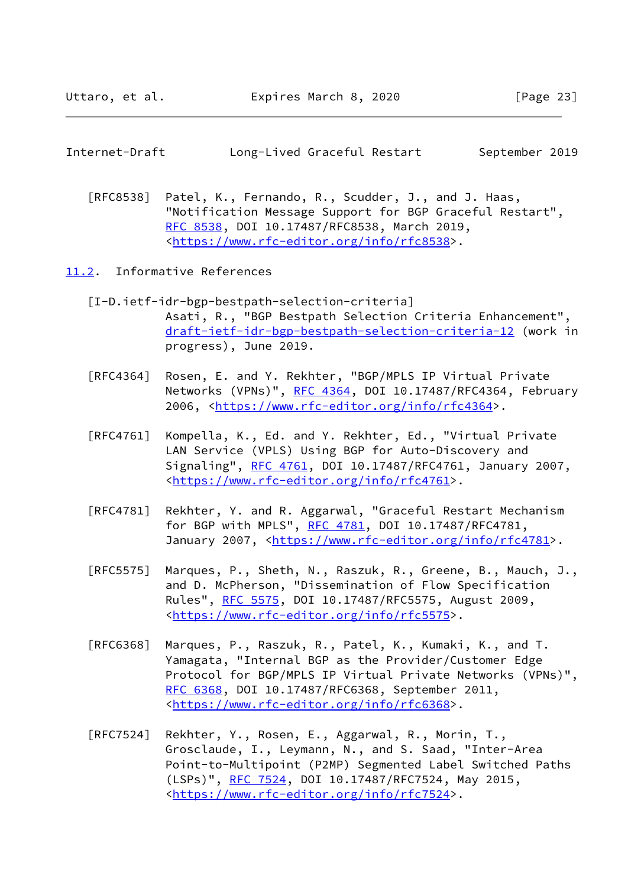<span id="page-26-1"></span>

| Internet-Draft | Long-Lived Graceful Restart |  | September 2019 |  |
|----------------|-----------------------------|--|----------------|--|
|                |                             |  |                |  |

 [RFC8538] Patel, K., Fernando, R., Scudder, J., and J. Haas, "Notification Message Support for BGP Graceful Restart", [RFC 8538,](https://datatracker.ietf.org/doc/pdf/rfc8538) DOI 10.17487/RFC8538, March 2019, <[https://www.rfc-editor.org/info/rfc8538>](https://www.rfc-editor.org/info/rfc8538).

<span id="page-26-0"></span>[11.2](#page-26-0). Informative References

- <span id="page-26-2"></span> [I-D.ietf-idr-bgp-bestpath-selection-criteria] Asati, R., "BGP Bestpath Selection Criteria Enhancement", [draft-ietf-idr-bgp-bestpath-selection-criteria-12](https://datatracker.ietf.org/doc/pdf/draft-ietf-idr-bgp-bestpath-selection-criteria-12) (work in progress), June 2019.
- [RFC4364] Rosen, E. and Y. Rekhter, "BGP/MPLS IP Virtual Private Networks (VPNs)", [RFC 4364](https://datatracker.ietf.org/doc/pdf/rfc4364), DOI 10.17487/RFC4364, February 2006, [<https://www.rfc-editor.org/info/rfc4364](https://www.rfc-editor.org/info/rfc4364)>.
- [RFC4761] Kompella, K., Ed. and Y. Rekhter, Ed., "Virtual Private LAN Service (VPLS) Using BGP for Auto-Discovery and Signaling", [RFC 4761,](https://datatracker.ietf.org/doc/pdf/rfc4761) DOI 10.17487/RFC4761, January 2007, <[https://www.rfc-editor.org/info/rfc4761>](https://www.rfc-editor.org/info/rfc4761).
- [RFC4781] Rekhter, Y. and R. Aggarwal, "Graceful Restart Mechanism for BGP with MPLS", [RFC 4781,](https://datatracker.ietf.org/doc/pdf/rfc4781) DOI 10.17487/RFC4781, January 2007, [<https://www.rfc-editor.org/info/rfc4781](https://www.rfc-editor.org/info/rfc4781)>.
- [RFC5575] Marques, P., Sheth, N., Raszuk, R., Greene, B., Mauch, J., and D. McPherson, "Dissemination of Flow Specification Rules", [RFC 5575,](https://datatracker.ietf.org/doc/pdf/rfc5575) DOI 10.17487/RFC5575, August 2009, <[https://www.rfc-editor.org/info/rfc5575>](https://www.rfc-editor.org/info/rfc5575).
- [RFC6368] Marques, P., Raszuk, R., Patel, K., Kumaki, K., and T. Yamagata, "Internal BGP as the Provider/Customer Edge Protocol for BGP/MPLS IP Virtual Private Networks (VPNs)", [RFC 6368,](https://datatracker.ietf.org/doc/pdf/rfc6368) DOI 10.17487/RFC6368, September 2011, <[https://www.rfc-editor.org/info/rfc6368>](https://www.rfc-editor.org/info/rfc6368).
- [RFC7524] Rekhter, Y., Rosen, E., Aggarwal, R., Morin, T., Grosclaude, I., Leymann, N., and S. Saad, "Inter-Area Point-to-Multipoint (P2MP) Segmented Label Switched Paths (LSPs)", [RFC 7524,](https://datatracker.ietf.org/doc/pdf/rfc7524) DOI 10.17487/RFC7524, May 2015, <[https://www.rfc-editor.org/info/rfc7524>](https://www.rfc-editor.org/info/rfc7524).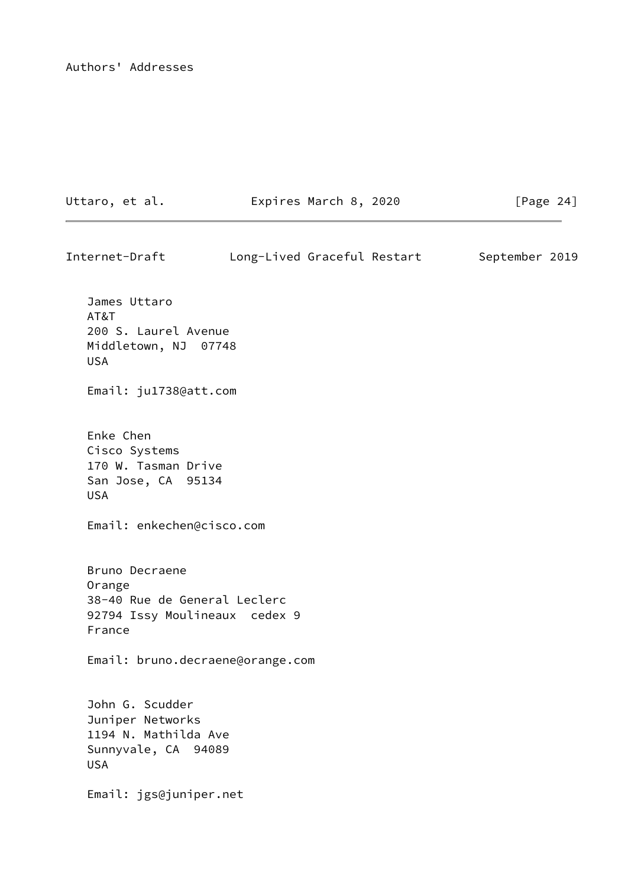Authors' Addresses

Uttaro, et al. Expires March 8, 2020 [Page 24]

| Internet-Draft                                                                                      |  | Long-Lived Graceful Restart | September 2019 |  |
|-----------------------------------------------------------------------------------------------------|--|-----------------------------|----------------|--|
| James Uttaro<br>AT&T<br>200 S. Laurel Avenue<br>Middletown, NJ 07748<br><b>USA</b>                  |  |                             |                |  |
| Email: ju1738@att.com                                                                               |  |                             |                |  |
| Enke Chen<br>Cisco Systems<br>170 W. Tasman Drive<br>San Jose, CA 95134<br><b>USA</b>               |  |                             |                |  |
| Email: enkechen@cisco.com                                                                           |  |                             |                |  |
| Bruno Decraene<br>Orange<br>38-40 Rue de General Leclerc<br>92794 Issy Moulineaux cedex 9<br>France |  |                             |                |  |
| Email: bruno.decraene@orange.com                                                                    |  |                             |                |  |
| John G. Scudder<br>Juniper Networks<br>1194 N. Mathilda Ave<br>Sunnyvale, CA 94089<br><b>USA</b>    |  |                             |                |  |
| Email: jgs@juniper.net                                                                              |  |                             |                |  |